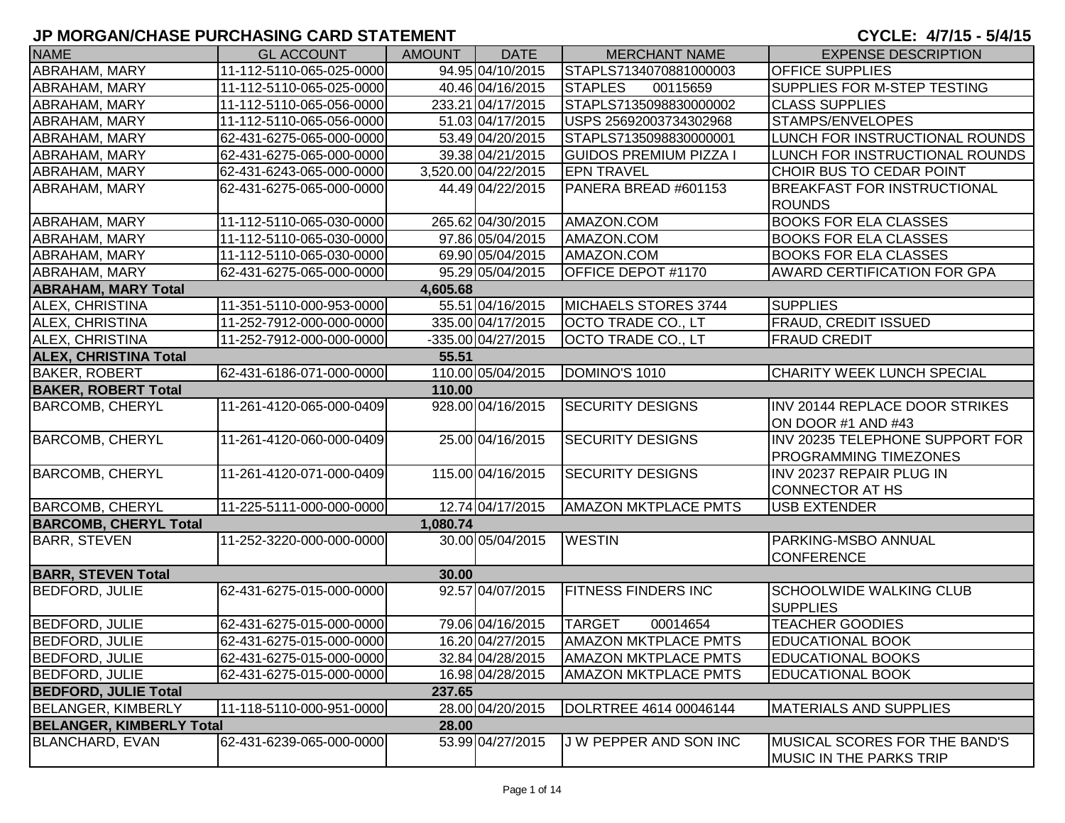| <b>NAME</b>                     | <b>GL ACCOUNT</b>        | <b>AMOUNT</b> | <b>DATE</b>         | <b>MERCHANT NAME</b>          | <b>EXPENSE DESCRIPTION</b>            |
|---------------------------------|--------------------------|---------------|---------------------|-------------------------------|---------------------------------------|
| ABRAHAM, MARY                   | 11-112-5110-065-025-0000 |               | 94.95 04/10/2015    | STAPLS7134070881000003        | <b>OFFICE SUPPLIES</b>                |
| ABRAHAM, MARY                   | 11-112-5110-065-025-0000 |               | 40.46 04/16/2015    | <b>STAPLES</b><br>00115659    | SUPPLIES FOR M-STEP TESTING           |
| ABRAHAM, MARY                   | 11-112-5110-065-056-0000 |               | 233.21 04/17/2015   | STAPLS7135098830000002        | <b>CLASS SUPPLIES</b>                 |
| ABRAHAM, MARY                   | 11-112-5110-065-056-0000 |               | 51.03 04/17/2015    | USPS 25692003734302968        | STAMPS/ENVELOPES                      |
| ABRAHAM, MARY                   | 62-431-6275-065-000-0000 |               | 53.49 04/20/2015    | STAPLS7135098830000001        | LUNCH FOR INSTRUCTIONAL ROUNDS        |
| <b>ABRAHAM, MARY</b>            | 62-431-6275-065-000-0000 |               | 39.38 04/21/2015    | <b>GUIDOS PREMIUM PIZZA I</b> | LUNCH FOR INSTRUCTIONAL ROUNDS        |
| ABRAHAM, MARY                   | 62-431-6243-065-000-0000 |               | 3,520.00 04/22/2015 | <b>EPN TRAVEL</b>             | CHOIR BUS TO CEDAR POINT              |
| ABRAHAM, MARY                   | 62-431-6275-065-000-0000 |               | 44.49 04/22/2015    | PANERA BREAD #601153          | <b>BREAKFAST FOR INSTRUCTIONAL</b>    |
|                                 |                          |               |                     |                               | <b>ROUNDS</b>                         |
| ABRAHAM, MARY                   | 11-112-5110-065-030-0000 |               | 265.62 04/30/2015   | AMAZON.COM                    | <b>BOOKS FOR ELA CLASSES</b>          |
| <b>ABRAHAM, MARY</b>            | 11-112-5110-065-030-0000 |               | 97.86 05/04/2015    | AMAZON.COM                    | <b>BOOKS FOR ELA CLASSES</b>          |
| <b>ABRAHAM, MARY</b>            | 11-112-5110-065-030-0000 |               | 69.90 05/04/2015    | AMAZON.COM                    | <b>BOOKS FOR ELA CLASSES</b>          |
| ABRAHAM, MARY                   | 62-431-6275-065-000-0000 |               | 95.29 05/04/2015    | OFFICE DEPOT #1170            | <b>AWARD CERTIFICATION FOR GPA</b>    |
| <b>ABRAHAM, MARY Total</b>      |                          | 4,605.68      |                     |                               |                                       |
| <b>ALEX, CHRISTINA</b>          | 11-351-5110-000-953-0000 |               | 55.51 04/16/2015    | <b>MICHAELS STORES 3744</b>   | <b>SUPPLIES</b>                       |
| ALEX, CHRISTINA                 | 11-252-7912-000-000-0000 |               | 335.00 04/17/2015   | OCTO TRADE CO., LT            | <b>FRAUD, CREDIT ISSUED</b>           |
| ALEX, CHRISTINA                 | 11-252-7912-000-000-0000 |               | -335.00 04/27/2015  | OCTO TRADE CO., LT            | <b>FRAUD CREDIT</b>                   |
| <b>ALEX, CHRISTINA Total</b>    |                          | 55.51         |                     |                               |                                       |
| <b>BAKER, ROBERT</b>            | 62-431-6186-071-000-0000 |               | 110.00 05/04/2015   | DOMINO'S 1010                 | CHARITY WEEK LUNCH SPECIAL            |
| <b>BAKER, ROBERT Total</b>      |                          | 110.00        |                     |                               |                                       |
| <b>BARCOMB, CHERYL</b>          | 11-261-4120-065-000-0409 |               | 928.00 04/16/2015   | <b>SECURITY DESIGNS</b>       | <b>INV 20144 REPLACE DOOR STRIKES</b> |
|                                 |                          |               |                     |                               | ON DOOR #1 AND #43                    |
| <b>BARCOMB, CHERYL</b>          | 11-261-4120-060-000-0409 |               | 25.00 04/16/2015    | <b>SECURITY DESIGNS</b>       | INV 20235 TELEPHONE SUPPORT FOR       |
|                                 |                          |               |                     |                               | <b>PROGRAMMING TIMEZONES</b>          |
| <b>BARCOMB, CHERYL</b>          | 11-261-4120-071-000-0409 |               | 115.00 04/16/2015   | <b>SECURITY DESIGNS</b>       | INV 20237 REPAIR PLUG IN              |
|                                 |                          |               |                     |                               | CONNECTOR AT HS                       |
| <b>BARCOMB, CHERYL</b>          | 11-225-5111-000-000-0000 |               | 12.74 04/17/2015    | <b>AMAZON MKTPLACE PMTS</b>   | USB EXTENDER                          |
| <b>BARCOMB, CHERYL Total</b>    |                          | 1,080.74      |                     |                               |                                       |
| <b>BARR, STEVEN</b>             | 11-252-3220-000-000-0000 |               | 30.00 05/04/2015    | <b>WESTIN</b>                 | <b>PARKING-MSBO ANNUAL</b>            |
|                                 |                          |               |                     |                               | <b>CONFERENCE</b>                     |
| <b>BARR, STEVEN Total</b>       |                          | 30.00         |                     |                               |                                       |
| <b>BEDFORD, JULIE</b>           | 62-431-6275-015-000-0000 |               | 92.57 04/07/2015    | <b>FITNESS FINDERS INC</b>    | <b>SCHOOLWIDE WALKING CLUB</b>        |
|                                 |                          |               |                     |                               | <b>SUPPLIES</b>                       |
| <b>BEDFORD, JULIE</b>           | 62-431-6275-015-000-0000 |               | 79.06 04/16/2015    | <b>TARGET</b><br>00014654     | <b>TEACHER GOODIES</b>                |
| <b>BEDFORD, JULIE</b>           | 62-431-6275-015-000-0000 |               | 16.20 04/27/2015    | <b>AMAZON MKTPLACE PMTS</b>   | <b>EDUCATIONAL BOOK</b>               |
| <b>BEDFORD, JULIE</b>           | 62-431-6275-015-000-0000 |               | 32.84 04/28/2015    | <b>AMAZON MKTPLACE PMTS</b>   | <b>EDUCATIONAL BOOKS</b>              |
| <b>BEDFORD, JULIE</b>           | 62-431-6275-015-000-0000 |               | 16.98 04/28/2015    | AMAZON MKTPLACE PMTS          | <b>EDUCATIONAL BOOK</b>               |
| <b>BEDFORD, JULIE Total</b>     |                          | 237.65        |                     |                               |                                       |
| <b>BELANGER, KIMBERLY</b>       | 11-118-5110-000-951-0000 |               | 28.00 04/20/2015    | DOLRTREE 4614 00046144        | <b>MATERIALS AND SUPPLIES</b>         |
| <b>BELANGER, KIMBERLY Total</b> |                          | 28.00         |                     |                               |                                       |
| <b>BLANCHARD, EVAN</b>          | 62-431-6239-065-000-0000 |               | 53.99 04/27/2015    | J W PEPPER AND SON INC        | MUSICAL SCORES FOR THE BAND'S         |
|                                 |                          |               |                     |                               | <b>MUSIC IN THE PARKS TRIP</b>        |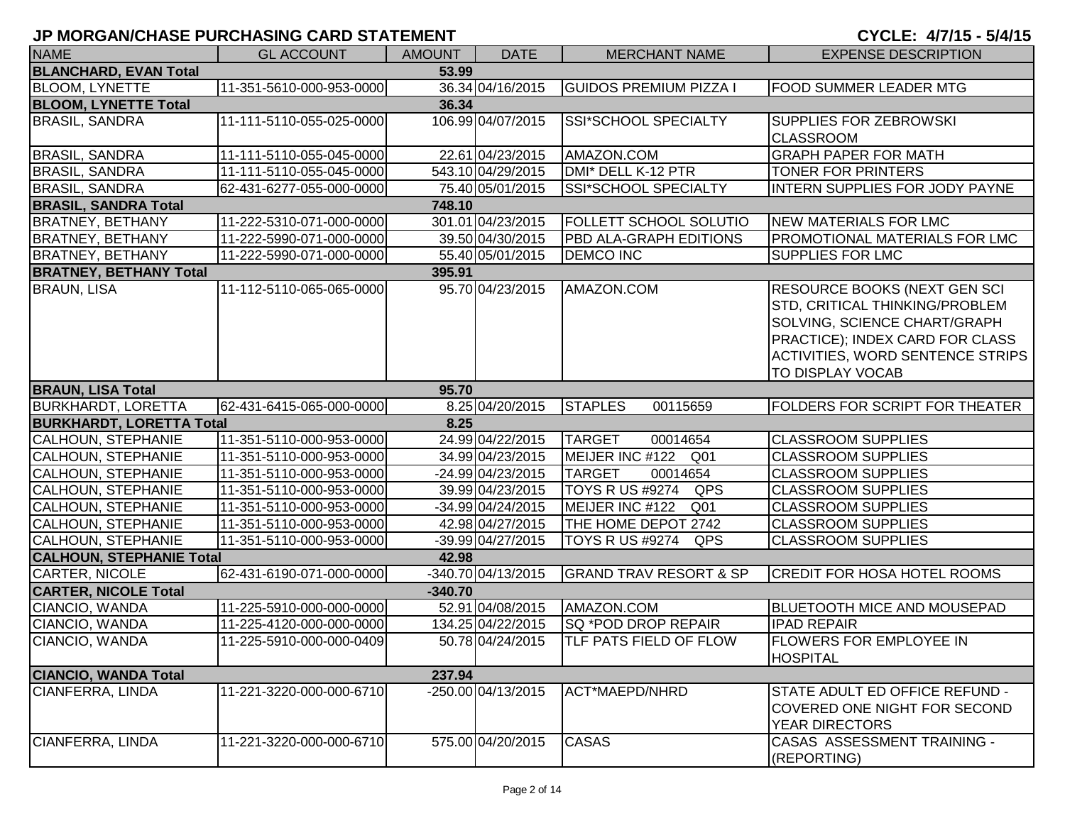| <b>NAME</b>                     | <b>GL ACCOUNT</b>        | <b>AMOUNT</b> | <b>DATE</b>        | <b>MERCHANT NAME</b>               | <b>EXPENSE DESCRIPTION</b>                                                                                                                                                                                      |
|---------------------------------|--------------------------|---------------|--------------------|------------------------------------|-----------------------------------------------------------------------------------------------------------------------------------------------------------------------------------------------------------------|
| <b>BLANCHARD, EVAN Total</b>    |                          | 53.99         |                    |                                    |                                                                                                                                                                                                                 |
| <b>BLOOM, LYNETTE</b>           | 11-351-5610-000-953-0000 |               | 36.34 04/16/2015   | <b>GUIDOS PREMIUM PIZZA I</b>      | <b>FOOD SUMMER LEADER MTG</b>                                                                                                                                                                                   |
| <b>BLOOM, LYNETTE Total</b>     |                          | 36.34         |                    |                                    |                                                                                                                                                                                                                 |
| <b>BRASIL, SANDRA</b>           | 11-111-5110-055-025-0000 |               | 106.99 04/07/2015  | SSI*SCHOOL SPECIALTY               | <b>SUPPLIES FOR ZEBROWSKI</b>                                                                                                                                                                                   |
|                                 |                          |               |                    |                                    | <b>CLASSROOM</b>                                                                                                                                                                                                |
| <b>BRASIL, SANDRA</b>           | 11-111-5110-055-045-0000 |               | 22.61 04/23/2015   | AMAZON.COM                         | <b>GRAPH PAPER FOR MATH</b>                                                                                                                                                                                     |
| <b>BRASIL, SANDRA</b>           | 11-111-5110-055-045-0000 |               | 543.10 04/29/2015  | DMI* DELL K-12 PTR                 | TONER FOR PRINTERS                                                                                                                                                                                              |
| <b>BRASIL, SANDRA</b>           | 62-431-6277-055-000-0000 |               | 75.40 05/01/2015   | SSI*SCHOOL SPECIALTY               | <b>INTERN SUPPLIES FOR JODY PAYNE</b>                                                                                                                                                                           |
| <b>BRASIL, SANDRA Total</b>     |                          | 748.10        |                    |                                    |                                                                                                                                                                                                                 |
| <b>BRATNEY, BETHANY</b>         | 11-222-5310-071-000-0000 |               | 301.01 04/23/2015  | <b>FOLLETT SCHOOL SOLUTIO</b>      | NEW MATERIALS FOR LMC                                                                                                                                                                                           |
| <b>BRATNEY, BETHANY</b>         | 11-222-5990-071-000-0000 |               | 39.50 04/30/2015   | PBD ALA-GRAPH EDITIONS             | PROMOTIONAL MATERIALS FOR LMC                                                                                                                                                                                   |
| <b>BRATNEY, BETHANY</b>         | 11-222-5990-071-000-0000 |               | 55.40 05/01/2015   | <b>DEMCO INC</b>                   | <b>SUPPLIES FOR LMC</b>                                                                                                                                                                                         |
| <b>BRATNEY, BETHANY Total</b>   |                          | 395.91        |                    |                                    |                                                                                                                                                                                                                 |
| <b>BRAUN, LISA</b>              | 11-112-5110-065-065-0000 |               | 95.70 04/23/2015   | AMAZON.COM                         | <b>RESOURCE BOOKS (NEXT GEN SCI)</b><br>STD, CRITICAL THINKING/PROBLEM<br>SOLVING, SCIENCE CHART/GRAPH<br><b>PRACTICE); INDEX CARD FOR CLASS</b><br><b>ACTIVITIES, WORD SENTENCE STRIPS</b><br>TO DISPLAY VOCAB |
| <b>BRAUN, LISA Total</b>        |                          | 95.70         |                    |                                    |                                                                                                                                                                                                                 |
| <b>BURKHARDT, LORETTA</b>       | 62-431-6415-065-000-0000 |               | 8.25 04/20/2015    | <b>STAPLES</b><br>00115659         | FOLDERS FOR SCRIPT FOR THEATER                                                                                                                                                                                  |
| <b>BURKHARDT, LORETTA Total</b> |                          | 8.25          |                    |                                    |                                                                                                                                                                                                                 |
| <b>CALHOUN, STEPHANIE</b>       | 11-351-5110-000-953-0000 |               | 24.99 04/22/2015   | <b>TARGET</b><br>00014654          | <b>CLASSROOM SUPPLIES</b>                                                                                                                                                                                       |
| <b>CALHOUN, STEPHANIE</b>       | 11-351-5110-000-953-0000 |               | 34.99 04/23/2015   | MEIJER INC #122 Q01                | <b>CLASSROOM SUPPLIES</b>                                                                                                                                                                                       |
| <b>CALHOUN, STEPHANIE</b>       | 11-351-5110-000-953-0000 |               | -24.99 04/23/2015  | <b>TARGET</b><br>00014654          | <b>CLASSROOM SUPPLIES</b>                                                                                                                                                                                       |
| CALHOUN, STEPHANIE              | 11-351-5110-000-953-0000 |               | 39.99 04/23/2015   | TOYS R US #9274 QPS                | <b>CLASSROOM SUPPLIES</b>                                                                                                                                                                                       |
| CALHOUN, STEPHANIE              | 11-351-5110-000-953-0000 |               | -34.99 04/24/2015  | MEIJER INC #122<br>Q <sub>01</sub> | <b>CLASSROOM SUPPLIES</b>                                                                                                                                                                                       |
| CALHOUN, STEPHANIE              | 11-351-5110-000-953-0000 |               | 42.98 04/27/2015   | THE HOME DEPOT 2742                | <b>CLASSROOM SUPPLIES</b>                                                                                                                                                                                       |
| <b>CALHOUN, STEPHANIE</b>       | 11-351-5110-000-953-0000 |               | -39.99 04/27/2015  | <b>TOYS R US #9274</b><br>QPS      | <b>CLASSROOM SUPPLIES</b>                                                                                                                                                                                       |
| <b>CALHOUN, STEPHANIE Total</b> |                          | 42.98         |                    |                                    |                                                                                                                                                                                                                 |
| CARTER, NICOLE                  | 62-431-6190-071-000-0000 |               | -340.70 04/13/2015 | <b>GRAND TRAV RESORT &amp; SP</b>  | <b>CREDIT FOR HOSA HOTEL ROOMS</b>                                                                                                                                                                              |
| <b>CARTER, NICOLE Total</b>     |                          | $-340.70$     |                    |                                    |                                                                                                                                                                                                                 |
| CIANCIO, WANDA                  | 11-225-5910-000-000-0000 |               | 52.91 04/08/2015   | AMAZON.COM                         | <b>BLUETOOTH MICE AND MOUSEPAD</b>                                                                                                                                                                              |
| CIANCIO, WANDA                  | 11-225-4120-000-000-0000 |               | 134.25 04/22/2015  | SQ *POD DROP REPAIR                | <b>IPAD REPAIR</b>                                                                                                                                                                                              |
| CIANCIO, WANDA                  | 11-225-5910-000-000-0409 |               | 50.78 04/24/2015   | <b>TLF PATS FIELD OF FLOW</b>      | <b>FLOWERS FOR EMPLOYEE IN</b><br><b>HOSPITAL</b>                                                                                                                                                               |
| <b>CIANCIO, WANDA Total</b>     |                          | 237.94        |                    |                                    |                                                                                                                                                                                                                 |
| <b>CIANFERRA, LINDA</b>         | 11-221-3220-000-000-6710 |               | -250.00 04/13/2015 | ACT*MAEPD/NHRD                     | STATE ADULT ED OFFICE REFUND -<br>COVERED ONE NIGHT FOR SECOND<br><b>YEAR DIRECTORS</b>                                                                                                                         |
| <b>CIANFERRA, LINDA</b>         | 11-221-3220-000-000-6710 |               | 575.00 04/20/2015  | <b>CASAS</b>                       | CASAS ASSESSMENT TRAINING -<br>(REPORTING)                                                                                                                                                                      |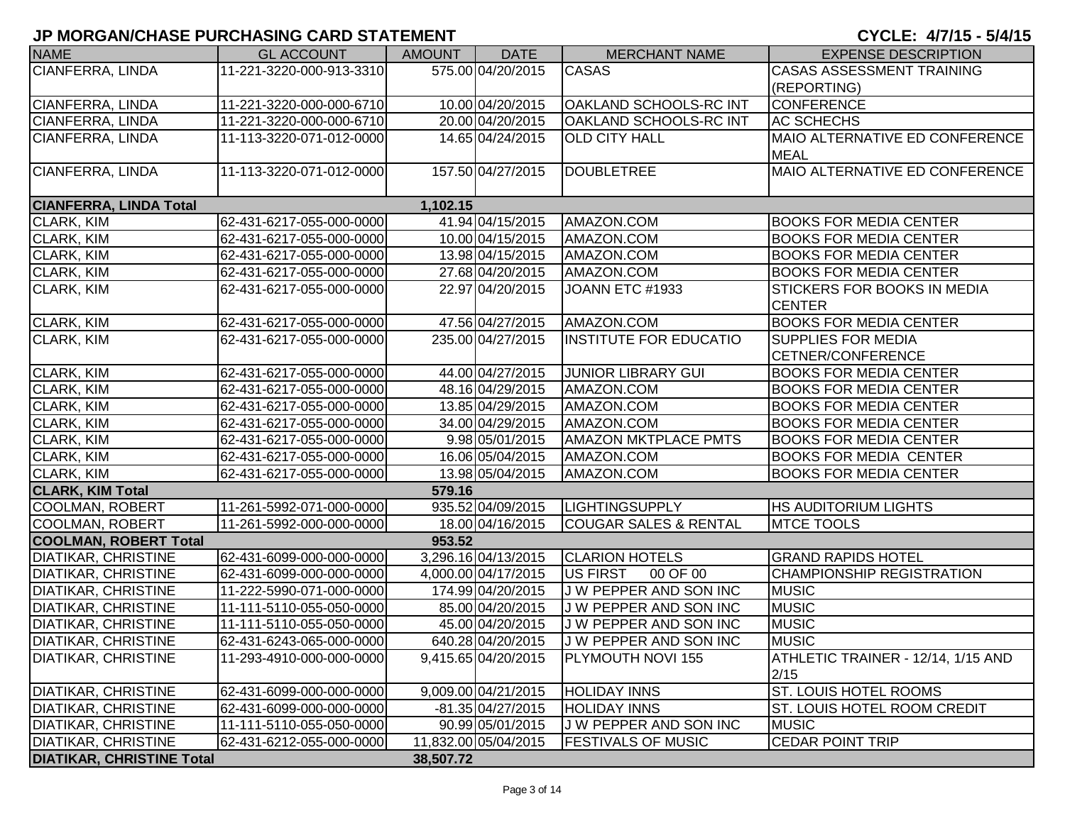| <b>NAME</b>                      | <b>GL ACCOUNT</b>        | <b>AMOUNT</b> | <b>DATE</b>          | <b>MERCHANT NAME</b>             | <b>EXPENSE DESCRIPTION</b>                 |
|----------------------------------|--------------------------|---------------|----------------------|----------------------------------|--------------------------------------------|
| <b>CIANFERRA, LINDA</b>          | 11-221-3220-000-913-3310 |               | 575.00 04/20/2015    | <b>CASAS</b>                     | <b>CASAS ASSESSMENT TRAINING</b>           |
|                                  |                          |               |                      |                                  | (REPORTING)                                |
| CIANFERRA, LINDA                 | 11-221-3220-000-000-6710 |               | 10.00 04/20/2015     | <b>OAKLAND SCHOOLS-RC INT</b>    | <b>CONFERENCE</b>                          |
| <b>CIANFERRA, LINDA</b>          | 11-221-3220-000-000-6710 |               | 20.00 04/20/2015     | <b>OAKLAND SCHOOLS-RC INT</b>    | AC SCHECHS                                 |
| CIANFERRA, LINDA                 | 11-113-3220-071-012-0000 |               | 14.65 04/24/2015     | <b>OLD CITY HALL</b>             | MAIO ALTERNATIVE ED CONFERENCE             |
|                                  |                          |               |                      |                                  | <b>MEAL</b>                                |
| CIANFERRA, LINDA                 | 11-113-3220-071-012-0000 |               | 157.50 04/27/2015    | <b>DOUBLETREE</b>                | <b>MAIO ALTERNATIVE ED CONFERENCE</b>      |
| <b>CIANFERRA, LINDA Total</b>    |                          | 1,102.15      |                      |                                  |                                            |
| CLARK, KIM                       | 62-431-6217-055-000-0000 |               | 41.94 04/15/2015     | AMAZON.COM                       | <b>BOOKS FOR MEDIA CENTER</b>              |
| <b>CLARK, KIM</b>                | 62-431-6217-055-000-0000 |               | 10.00 04/15/2015     | AMAZON.COM                       | <b>BOOKS FOR MEDIA CENTER</b>              |
| <b>CLARK, KIM</b>                | 62-431-6217-055-000-0000 |               | 13.98 04/15/2015     | AMAZON.COM                       | <b>BOOKS FOR MEDIA CENTER</b>              |
| CLARK, KIM                       | 62-431-6217-055-000-0000 |               | 27.68 04/20/2015     | AMAZON.COM                       | <b>BOOKS FOR MEDIA CENTER</b>              |
| CLARK, KIM                       | 62-431-6217-055-000-0000 |               | 22.97 04/20/2015     | JOANN ETC #1933                  | <b>STICKERS FOR BOOKS IN MEDIA</b>         |
|                                  |                          |               |                      |                                  | <b>CENTER</b>                              |
| CLARK, KIM                       | 62-431-6217-055-000-0000 |               | 47.56 04/27/2015     | AMAZON.COM                       | <b>BOOKS FOR MEDIA CENTER</b>              |
| <b>CLARK, KIM</b>                | 62-431-6217-055-000-0000 |               | 235.00 04/27/2015    | INSTITUTE FOR EDUCATIO           | <b>SUPPLIES FOR MEDIA</b>                  |
|                                  |                          |               |                      |                                  | CETNER/CONFERENCE                          |
| CLARK, KIM                       | 62-431-6217-055-000-0000 |               | 44.00 04/27/2015     | <b>JUNIOR LIBRARY GUI</b>        | <b>BOOKS FOR MEDIA CENTER</b>              |
| CLARK, KIM                       | 62-431-6217-055-000-0000 |               | 48.16 04/29/2015     | AMAZON.COM                       | <b>BOOKS FOR MEDIA CENTER</b>              |
| <b>CLARK, KIM</b>                | 62-431-6217-055-000-0000 |               | 13.85 04/29/2015     | AMAZON.COM                       | <b>BOOKS FOR MEDIA CENTER</b>              |
| <b>CLARK, KIM</b>                | 62-431-6217-055-000-0000 |               | 34.00 04/29/2015     | AMAZON.COM                       | <b>BOOKS FOR MEDIA CENTER</b>              |
| <b>CLARK, KIM</b>                | 62-431-6217-055-000-0000 |               | 9.98 05/01/2015      | <b>AMAZON MKTPLACE PMTS</b>      | <b>BOOKS FOR MEDIA CENTER</b>              |
| <b>CLARK, KIM</b>                | 62-431-6217-055-000-0000 |               | 16.06 05/04/2015     | AMAZON.COM                       | <b>BOOKS FOR MEDIA CENTER</b>              |
| <b>CLARK, KIM</b>                | 62-431-6217-055-000-0000 |               | 13.98 05/04/2015     | AMAZON.COM                       | <b>BOOKS FOR MEDIA CENTER</b>              |
| <b>CLARK, KIM Total</b>          |                          | 579.16        |                      |                                  |                                            |
| COOLMAN, ROBERT                  | 11-261-5992-071-000-0000 |               | 935.52 04/09/2015    | <b>LIGHTINGSUPPLY</b>            | <b>HS AUDITORIUM LIGHTS</b>                |
| COOLMAN, ROBERT                  | 11-261-5992-000-000-0000 |               | 18.00 04/16/2015     | <b>COUGAR SALES &amp; RENTAL</b> | <b>MTCE TOOLS</b>                          |
| <b>COOLMAN, ROBERT Total</b>     |                          | 953.52        |                      |                                  |                                            |
| <b>DIATIKAR, CHRISTINE</b>       | 62-431-6099-000-000-0000 |               | 3,296.16 04/13/2015  | <b>CLARION HOTELS</b>            | <b>GRAND RAPIDS HOTEL</b>                  |
| <b>DIATIKAR, CHRISTINE</b>       | 62-431-6099-000-000-0000 |               | 4,000.00 04/17/2015  | US FIRST<br>00 OF 00             | <b>CHAMPIONSHIP REGISTRATION</b>           |
| <b>DIATIKAR, CHRISTINE</b>       | 11-222-5990-071-000-0000 |               | 174.99 04/20/2015    | J W PEPPER AND SON INC           | <b>MUSIC</b>                               |
| <b>DIATIKAR, CHRISTINE</b>       | 11-111-5110-055-050-0000 |               | 85.00 04/20/2015     | J W PEPPER AND SON INC           | <b>MUSIC</b>                               |
| <b>DIATIKAR, CHRISTINE</b>       | 11-111-5110-055-050-0000 |               | 45.00 04/20/2015     | J W PEPPER AND SON INC           | <b>MUSIC</b>                               |
| <b>DIATIKAR, CHRISTINE</b>       | 62-431-6243-065-000-0000 |               | 640.28 04/20/2015    | J W PEPPER AND SON INC           | <b>MUSIC</b>                               |
| <b>DIATIKAR, CHRISTINE</b>       | 11-293-4910-000-000-0000 |               | 9,415.65 04/20/2015  | PLYMOUTH NOVI 155                | ATHLETIC TRAINER - 12/14, 1/15 AND<br>2/15 |
| <b>DIATIKAR, CHRISTINE</b>       | 62-431-6099-000-000-0000 |               | 9,009.00 04/21/2015  | <b>HOLIDAY INNS</b>              | <b>ST. LOUIS HOTEL ROOMS</b>               |
| <b>DIATIKAR, CHRISTINE</b>       | 62-431-6099-000-000-0000 |               | -81.35 04/27/2015    | <b>HOLIDAY INNS</b>              | <b>ST. LOUIS HOTEL ROOM CREDIT</b>         |
| <b>DIATIKAR, CHRISTINE</b>       | 11-111-5110-055-050-0000 |               | 90.99 05/01/2015     | J W PEPPER AND SON INC           | <b>MUSIC</b>                               |
| <b>DIATIKAR, CHRISTINE</b>       | 62-431-6212-055-000-0000 |               | 11,832.00 05/04/2015 | <b>FESTIVALS OF MUSIC</b>        | <b>CEDAR POINT TRIP</b>                    |
| <b>DIATIKAR, CHRISTINE Total</b> |                          | 38,507.72     |                      |                                  |                                            |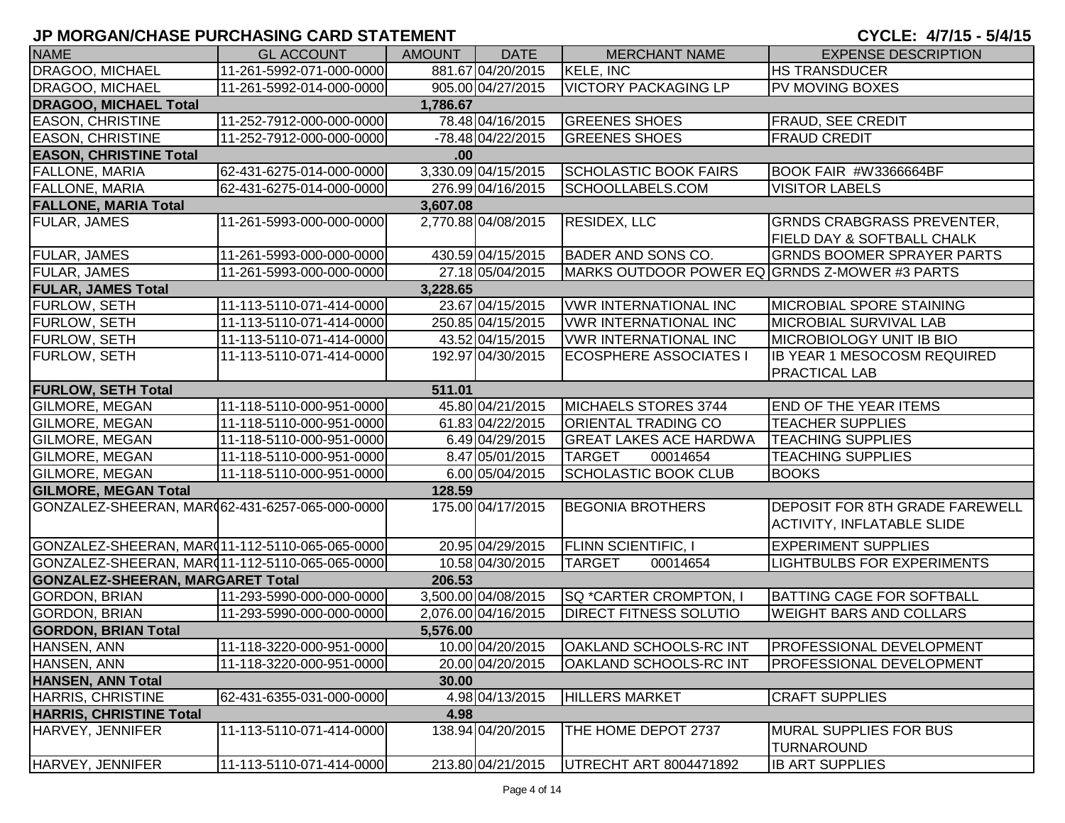| <b>NAME</b>                                     | <b>GL ACCOUNT</b>        | AMOUNT   | <b>DATE</b>         | <b>MERCHANT NAME</b>                          | <b>EXPENSE DESCRIPTION</b>                                                 |
|-------------------------------------------------|--------------------------|----------|---------------------|-----------------------------------------------|----------------------------------------------------------------------------|
| DRAGOO, MICHAEL                                 | 11-261-5992-071-000-0000 |          | 881.67 04/20/2015   | KELE, INC                                     | <b>HS TRANSDUCER</b>                                                       |
| <b>DRAGOO, MICHAEL</b>                          | 11-261-5992-014-000-0000 |          | 905.00 04/27/2015   | <b>VICTORY PACKAGING LP</b>                   | <b>PV MOVING BOXES</b>                                                     |
| <b>DRAGOO, MICHAEL Total</b>                    |                          | 1,786.67 |                     |                                               |                                                                            |
| <b>EASON, CHRISTINE</b>                         | 11-252-7912-000-000-0000 |          | 78.48 04/16/2015    | <b>GREENES SHOES</b>                          | <b>FRAUD, SEE CREDIT</b>                                                   |
| <b>EASON, CHRISTINE</b>                         | 11-252-7912-000-000-0000 |          | $-78.48$ 04/22/2015 | <b>GREENES SHOES</b>                          | <b>FRAUD CREDIT</b>                                                        |
| <b>EASON, CHRISTINE Total</b>                   |                          | $.00 \,$ |                     |                                               |                                                                            |
| <b>FALLONE, MARIA</b>                           | 62-431-6275-014-000-0000 |          | 3,330.09 04/15/2015 | <b>SCHOLASTIC BOOK FAIRS</b>                  | BOOK FAIR #W3366664BF                                                      |
| <b>FALLONE, MARIA</b>                           | 62-431-6275-014-000-0000 |          | 276.99 04/16/2015   | SCHOOLLABELS.COM                              | <b>VISITOR LABELS</b>                                                      |
| <b>FALLONE, MARIA Total</b>                     |                          | 3,607.08 |                     |                                               |                                                                            |
| <b>FULAR, JAMES</b>                             | 11-261-5993-000-000-0000 |          | 2,770.88 04/08/2015 | RESIDEX, LLC                                  | <b>GRNDS CRABGRASS PREVENTER,</b>                                          |
|                                                 |                          |          |                     |                                               | <b>FIELD DAY &amp; SOFTBALL CHALK</b>                                      |
| <b>FULAR, JAMES</b>                             | 11-261-5993-000-000-0000 |          | 430.59 04/15/2015   | <b>BADER AND SONS CO.</b>                     | <b>GRNDS BOOMER SPRAYER PARTS</b>                                          |
| <b>FULAR, JAMES</b>                             | 11-261-5993-000-000-0000 |          | 27.18 05/04/2015    | MARKS OUTDOOR POWER EQ GRNDS Z-MOWER #3 PARTS |                                                                            |
| <b>FULAR, JAMES Total</b>                       |                          | 3,228.65 |                     |                                               |                                                                            |
| <b>FURLOW, SETH</b>                             | 11-113-5110-071-414-0000 |          | 23.67 04/15/2015    | <b>VWR INTERNATIONAL INC</b>                  | <b>MICROBIAL SPORE STAINING</b>                                            |
| <b>FURLOW, SETH</b>                             | 11-113-5110-071-414-0000 |          | 250.85 04/15/2015   | <b>VWR INTERNATIONAL INC</b>                  | MICROBIAL SURVIVAL LAB                                                     |
| <b>FURLOW, SETH</b>                             | 11-113-5110-071-414-0000 |          | 43.52 04/15/2015    | <b>VWR INTERNATIONAL INC</b>                  | <b>MICROBIOLOGY UNIT IB BIO</b>                                            |
| <b>FURLOW, SETH</b>                             | 11-113-5110-071-414-0000 |          | 192.97 04/30/2015   | <b>ECOSPHERE ASSOCIATES I</b>                 | <b>IB YEAR 1 MESOCOSM REQUIRED</b>                                         |
|                                                 |                          |          |                     |                                               | <b>PRACTICAL LAB</b>                                                       |
| <b>FURLOW, SETH Total</b>                       |                          | 511.01   |                     |                                               |                                                                            |
| GILMORE, MEGAN                                  | 11-118-5110-000-951-0000 |          | 45.80 04/21/2015    | MICHAELS STORES 3744                          | <b>END OF THE YEAR ITEMS</b>                                               |
| GILMORE, MEGAN                                  | 11-118-5110-000-951-0000 |          | 61.83 04/22/2015    | <b>ORIENTAL TRADING CO</b>                    | <b>TEACHER SUPPLIES</b>                                                    |
| <b>GILMORE, MEGAN</b>                           | 11-118-5110-000-951-0000 |          | 6.49 04/29/2015     | <b>GREAT LAKES ACE HARDWA</b>                 | <b>TEACHING SUPPLIES</b>                                                   |
| <b>GILMORE, MEGAN</b>                           | 11-118-5110-000-951-0000 |          | 8.47 05/01/2015     | <b>TARGET</b><br>00014654                     | <b>TEACHING SUPPLIES</b>                                                   |
| GILMORE, MEGAN                                  | 11-118-5110-000-951-0000 |          | 6.00 05/04/2015     | <b>SCHOLASTIC BOOK CLUB</b>                   | <b>BOOKS</b>                                                               |
| <b>GILMORE, MEGAN Total</b>                     |                          | 128.59   |                     |                                               |                                                                            |
| GONZALEZ-SHEERAN, MAR(62-431-6257-065-000-0000) |                          |          | 175.00 04/17/2015   | <b>BEGONIA BROTHERS</b>                       | <b>DEPOSIT FOR 8TH GRADE FAREWELL</b><br><b>ACTIVITY, INFLATABLE SLIDE</b> |
| GONZALEZ-SHEERAN, MAR011-112-5110-065-065-0000  |                          |          | 20.95 04/29/2015    | <b>FLINN SCIENTIFIC, I</b>                    | <b>EXPERIMENT SUPPLIES</b>                                                 |
| GONZALEZ-SHEERAN, MAR(11-112-5110-065-065-0000) |                          |          | 10.58 04/30/2015    | <b>TARGET</b><br>00014654                     | <b>LIGHTBULBS FOR EXPERIMENTS</b>                                          |
| <b>GONZALEZ-SHEERAN, MARGARET Total</b>         |                          | 206.53   |                     |                                               |                                                                            |
| <b>GORDON, BRIAN</b>                            | 11-293-5990-000-000-0000 |          | 3,500.00 04/08/2015 | <b>SQ *CARTER CROMPTON, I</b>                 | <b>BATTING CAGE FOR SOFTBALL</b>                                           |
| <b>GORDON, BRIAN</b>                            | 11-293-5990-000-000-0000 |          | 2,076.00 04/16/2015 | <b>DIRECT FITNESS SOLUTIO</b>                 | <b>WEIGHT BARS AND COLLARS</b>                                             |
| <b>GORDON, BRIAN Total</b>                      |                          | 5,576.00 |                     |                                               |                                                                            |
| HANSEN, ANN                                     | 11-118-3220-000-951-0000 |          |                     |                                               |                                                                            |
| HANSEN, ANN                                     | 11-118-3220-000-951-0000 |          | 20.00 04/20/2015    | <b>OAKLAND SCHOOLS-RC INT</b>                 | <b>PROFESSIONAL DEVELOPMENT</b>                                            |
| <b>HANSEN, ANN Total</b>                        |                          | 30.00    |                     |                                               |                                                                            |
| HARRIS, CHRISTINE                               | 62-431-6355-031-000-0000 |          | 4.98 04/13/2015     | <b>HILLERS MARKET</b>                         | <b>CRAFT SUPPLIES</b>                                                      |
| <b>HARRIS, CHRISTINE Total</b>                  |                          | 4.98     |                     |                                               |                                                                            |
| HARVEY, JENNIFER                                | 11-113-5110-071-414-0000 |          | 138.94 04/20/2015   | THE HOME DEPOT 2737                           | <b>MURAL SUPPLIES FOR BUS</b><br><b>TURNAROUND</b>                         |
| HARVEY, JENNIFER                                | 11-113-5110-071-414-0000 |          | 213.80 04/21/2015   | UTRECHT ART 8004471892                        | <b>IB ART SUPPLIES</b>                                                     |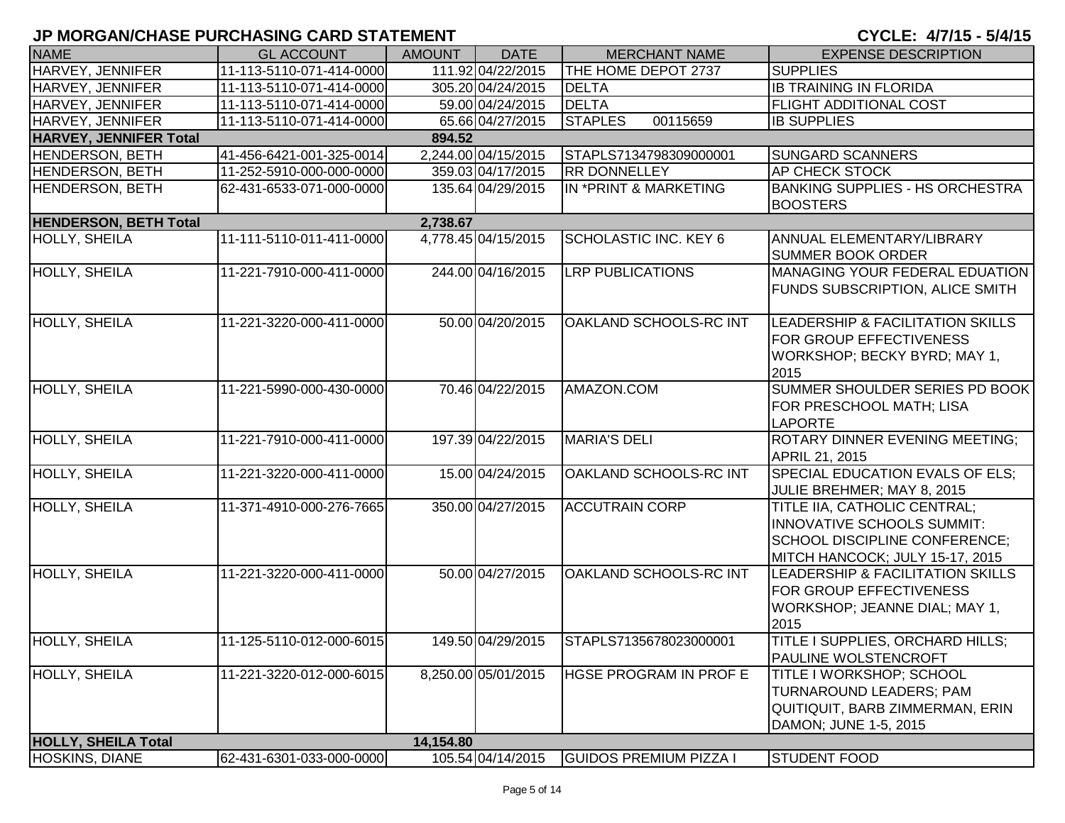| <b>NAME</b>                   | <b>GL ACCOUNT</b>        | <b>AMOUNT</b> | <b>DATE</b>         | <b>MERCHANT NAME</b>          | <b>EXPENSE DESCRIPTION</b>                                                                                                     |
|-------------------------------|--------------------------|---------------|---------------------|-------------------------------|--------------------------------------------------------------------------------------------------------------------------------|
| <b>HARVEY, JENNIFER</b>       | 11-113-5110-071-414-0000 |               | 111.92 04/22/2015   | THE HOME DEPOT 2737           | <b>SUPPLIES</b>                                                                                                                |
| HARVEY, JENNIFER              | 11-113-5110-071-414-0000 |               | 305.20 04/24/2015   | <b>DELTA</b>                  | <b>IB TRAINING IN FLORIDA</b>                                                                                                  |
| HARVEY, JENNIFER              | 11-113-5110-071-414-0000 |               | 59.00 04/24/2015    | <b>DELTA</b>                  | <b>FLIGHT ADDITIONAL COST</b>                                                                                                  |
| HARVEY, JENNIFER              | 11-113-5110-071-414-0000 |               | 65.66 04/27/2015    | 00115659<br><b>STAPLES</b>    | <b>IB SUPPLIES</b>                                                                                                             |
| <b>HARVEY, JENNIFER Total</b> |                          | 894.52        |                     |                               |                                                                                                                                |
| <b>HENDERSON, BETH</b>        | 41-456-6421-001-325-0014 |               | 2,244.00 04/15/2015 | STAPLS7134798309000001        | <b>SUNGARD SCANNERS</b>                                                                                                        |
| <b>HENDERSON, BETH</b>        | 11-252-5910-000-000-0000 |               | 359.03 04/17/2015   | <b>RR DONNELLEY</b>           | AP CHECK STOCK                                                                                                                 |
| <b>HENDERSON, BETH</b>        | 62-431-6533-071-000-0000 |               | 135.64 04/29/2015   | IN *PRINT & MARKETING         | <b>BANKING SUPPLIES - HS ORCHESTRA</b><br><b>BOOSTERS</b>                                                                      |
| <b>HENDERSON, BETH Total</b>  |                          | 2,738.67      |                     |                               |                                                                                                                                |
| <b>HOLLY, SHEILA</b>          | 11-111-5110-011-411-0000 |               | 4,778.45 04/15/2015 | <b>SCHOLASTIC INC. KEY 6</b>  | ANNUAL ELEMENTARY/LIBRARY<br><b>SUMMER BOOK ORDER</b>                                                                          |
| HOLLY, SHEILA                 | 11-221-7910-000-411-0000 |               | 244.00 04/16/2015   | <b>LRP PUBLICATIONS</b>       | MANAGING YOUR FEDERAL EDUATION<br>FUNDS SUBSCRIPTION, ALICE SMITH                                                              |
| <b>HOLLY, SHEILA</b>          | 11-221-3220-000-411-0000 |               | 50.00 04/20/2015    | OAKLAND SCHOOLS-RC INT        | LEADERSHIP & FACILITATION SKILLS<br>FOR GROUP EFFECTIVENESS<br>WORKSHOP; BECKY BYRD; MAY 1,<br>2015                            |
| HOLLY, SHEILA                 | 11-221-5990-000-430-0000 |               | 70.46 04/22/2015    | AMAZON.COM                    | SUMMER SHOULDER SERIES PD BOOK<br>FOR PRESCHOOL MATH; LISA<br><b>LAPORTE</b>                                                   |
| HOLLY, SHEILA                 | 11-221-7910-000-411-0000 |               | 197.39 04/22/2015   | <b>MARIA'S DELI</b>           | ROTARY DINNER EVENING MEETING;<br>APRIL 21, 2015                                                                               |
| HOLLY, SHEILA                 | 11-221-3220-000-411-0000 |               | 15.00 04/24/2015    | OAKLAND SCHOOLS-RC INT        | SPECIAL EDUCATION EVALS OF ELS;<br>JULIE BREHMER; MAY 8, 2015                                                                  |
| <b>HOLLY, SHEILA</b>          | 11-371-4910-000-276-7665 |               | 350.00 04/27/2015   | <b>ACCUTRAIN CORP</b>         | TITLE IIA, CATHOLIC CENTRAL;<br>INNOVATIVE SCHOOLS SUMMIT:<br>SCHOOL DISCIPLINE CONFERENCE;<br>MITCH HANCOCK; JULY 15-17, 2015 |
| <b>HOLLY, SHEILA</b>          | 11-221-3220-000-411-0000 |               | 50.00 04/27/2015    | OAKLAND SCHOOLS-RC INT        | <b>LEADERSHIP &amp; FACILITATION SKILLS</b><br>FOR GROUP EFFECTIVENESS<br>WORKSHOP; JEANNE DIAL; MAY 1,<br>2015                |
| <b>HOLLY, SHEILA</b>          | 11-125-5110-012-000-6015 |               | 149.50 04/29/2015   | STAPLS7135678023000001        | TITLE I SUPPLIES, ORCHARD HILLS;<br>PAULINE WOLSTENCROFT                                                                       |
| HOLLY, SHEILA                 | 11-221-3220-012-000-6015 |               | 8,250.00 05/01/2015 | <b>HGSE PROGRAM IN PROF E</b> | TITLE I WORKSHOP; SCHOOL<br>TURNAROUND LEADERS; PAM<br>QUITIQUIT, BARB ZIMMERMAN, ERIN<br>DAMON; JUNE 1-5, 2015                |
| <b>HOLLY, SHEILA Total</b>    |                          | 14,154.80     |                     |                               |                                                                                                                                |
| HOSKINS, DIANE                | 62-431-6301-033-000-0000 |               | 105.54 04/14/2015   | <b>GUIDOS PREMIUM PIZZA I</b> | <b>STUDENT FOOD</b>                                                                                                            |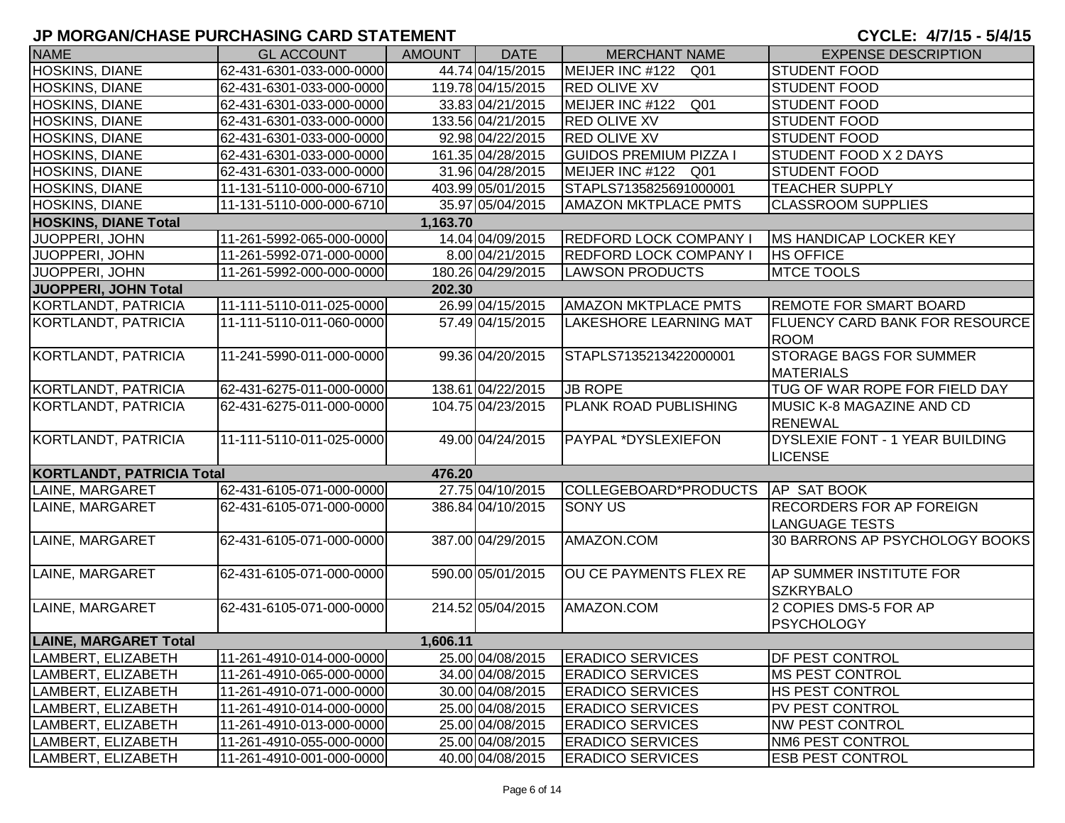| <b>NAME</b>                      | <b>GL ACCOUNT</b>        | <b>AMOUNT</b> | <b>DATE</b>       | <b>MERCHANT NAME</b>                | <b>EXPENSE DESCRIPTION</b>                               |
|----------------------------------|--------------------------|---------------|-------------------|-------------------------------------|----------------------------------------------------------|
| HOSKINS, DIANE                   | 62-431-6301-033-000-0000 |               | 44.74 04/15/2015  | MEIJER INC #122<br>Q01              | <b>STUDENT FOOD</b>                                      |
| HOSKINS, DIANE                   | 62-431-6301-033-000-0000 |               | 119.78 04/15/2015 | <b>RED OLIVE XV</b>                 | <b>STUDENT FOOD</b>                                      |
| HOSKINS, DIANE                   | 62-431-6301-033-000-0000 |               | 33.83 04/21/2015  | MEIJER INC #122<br>Q <sub>01</sub>  | <b>STUDENT FOOD</b>                                      |
| <b>HOSKINS, DIANE</b>            | 62-431-6301-033-000-0000 |               | 133.56 04/21/2015 | <b>RED OLIVE XV</b>                 | <b>STUDENT FOOD</b>                                      |
| HOSKINS, DIANE                   | 62-431-6301-033-000-0000 |               | 92.98 04/22/2015  | <b>RED OLIVE XV</b>                 | <b>STUDENT FOOD</b>                                      |
| HOSKINS, DIANE                   | 62-431-6301-033-000-0000 |               | 161.35 04/28/2015 | <b>GUIDOS PREMIUM PIZZA I</b>       | <b>STUDENT FOOD X 2 DAYS</b>                             |
| HOSKINS, DIANE                   | 62-431-6301-033-000-0000 |               | 31.96 04/28/2015  | MEIJER INC #122 Q01                 | <b>STUDENT FOOD</b>                                      |
| HOSKINS, DIANE                   | 11-131-5110-000-000-6710 |               | 403.99 05/01/2015 | STAPLS7135825691000001              | <b>TEACHER SUPPLY</b>                                    |
| HOSKINS, DIANE                   | 11-131-5110-000-000-6710 |               | 35.97 05/04/2015  | <b>AMAZON MKTPLACE PMTS</b>         | <b>CLASSROOM SUPPLIES</b>                                |
| <b>HOSKINS, DIANE Total</b>      |                          | 1,163.70      |                   |                                     |                                                          |
| JUOPPERI, JOHN                   | 11-261-5992-065-000-0000 |               | 14.04 04/09/2015  | <b>REDFORD LOCK COMPANY I</b>       | <b>MS HANDICAP LOCKER KEY</b>                            |
| JUOPPERI, JOHN                   | 11-261-5992-071-000-0000 |               | 8.00 04/21/2015   | REDFORD LOCK COMPANY I              | <b>HS OFFICE</b>                                         |
| JUOPPERI, JOHN                   | 11-261-5992-000-000-0000 |               | 180.26 04/29/2015 | <b>LAWSON PRODUCTS</b>              | <b>MTCE TOOLS</b>                                        |
| JUOPPERI, JOHN Total             |                          | 202.30        |                   |                                     |                                                          |
| KORTLANDT, PATRICIA              | 11-111-5110-011-025-0000 |               | 26.99 04/15/2015  | <b>AMAZON MKTPLACE PMTS</b>         | <b>REMOTE FOR SMART BOARD</b>                            |
| KORTLANDT, PATRICIA              | 11-111-5110-011-060-0000 |               | 57.49 04/15/2015  | LAKESHORE LEARNING MAT              | <b>FLUENCY CARD BANK FOR RESOURCE</b><br><b>ROOM</b>     |
| KORTLANDT, PATRICIA              | 11-241-5990-011-000-0000 |               | 99.36 04/20/2015  | STAPLS7135213422000001              | <b>STORAGE BAGS FOR SUMMER</b><br><b>MATERIALS</b>       |
| KORTLANDT, PATRICIA              | 62-431-6275-011-000-0000 |               | 138.61 04/22/2015 | <b>JB ROPE</b>                      | TUG OF WAR ROPE FOR FIELD DAY                            |
| KORTLANDT, PATRICIA              | 62-431-6275-011-000-0000 |               | 104.75 04/23/2015 | PLANK ROAD PUBLISHING               | <b>MUSIC K-8 MAGAZINE AND CD</b><br><b>RENEWAL</b>       |
| KORTLANDT, PATRICIA              | 11-111-5110-011-025-0000 |               | 49.00 04/24/2015  | PAYPAL *DYSLEXIEFON                 | DYSLEXIE FONT - 1 YEAR BUILDING<br><b>LICENSE</b>        |
| <b>KORTLANDT, PATRICIA Total</b> |                          | 476.20        |                   |                                     |                                                          |
| LAINE, MARGARET                  | 62-431-6105-071-000-0000 |               | 27.75 04/10/2015  | COLLEGEBOARD*PRODUCTS   AP SAT BOOK |                                                          |
| LAINE, MARGARET                  | 62-431-6105-071-000-0000 |               | 386.84 04/10/2015 | <b>SONY US</b>                      | <b>RECORDERS FOR AP FOREIGN</b><br><b>LANGUAGE TESTS</b> |
| LAINE, MARGARET                  | 62-431-6105-071-000-0000 |               | 387.00 04/29/2015 | AMAZON.COM                          | 30 BARRONS AP PSYCHOLOGY BOOKS                           |
| LAINE, MARGARET                  | 62-431-6105-071-000-0000 |               | 590.00 05/01/2015 | OU CE PAYMENTS FLEX RE              | <b>AP SUMMER INSTITUTE FOR</b><br><b>SZKRYBALO</b>       |
| LAINE, MARGARET                  | 62-431-6105-071-000-0000 |               | 214.52 05/04/2015 | AMAZON.COM                          | 2 COPIES DMS-5 FOR AP<br><b>PSYCHOLOGY</b>               |
| <b>LAINE, MARGARET Total</b>     |                          | 1,606.11      |                   |                                     |                                                          |
| LAMBERT, ELIZABETH               | 11-261-4910-014-000-0000 |               | 25.00 04/08/2015  | <b>ERADICO SERVICES</b>             | <b>DF PEST CONTROL</b>                                   |
| LAMBERT, ELIZABETH               | 11-261-4910-065-000-0000 |               | 34.00 04/08/2015  | <b>ERADICO SERVICES</b>             | <b>MS PEST CONTROL</b>                                   |
| LAMBERT, ELIZABETH               | 11-261-4910-071-000-0000 |               | 30.00 04/08/2015  | <b>ERADICO SERVICES</b>             | HS PEST CONTROL                                          |
| LAMBERT, ELIZABETH               | 11-261-4910-014-000-0000 |               | 25.00 04/08/2015  | <b>ERADICO SERVICES</b>             | PV PEST CONTROL                                          |
| LAMBERT, ELIZABETH               | 11-261-4910-013-000-0000 |               | 25.00 04/08/2015  | <b>ERADICO SERVICES</b>             | <b>NW PEST CONTROL</b>                                   |
| LAMBERT, ELIZABETH               | 11-261-4910-055-000-0000 |               | 25.00 04/08/2015  | <b>ERADICO SERVICES</b>             | <b>NM6 PEST CONTROL</b>                                  |
| LAMBERT, ELIZABETH               | 11-261-4910-001-000-0000 |               | 40.00 04/08/2015  | <b>ERADICO SERVICES</b>             | <b>ESB PEST CONTROL</b>                                  |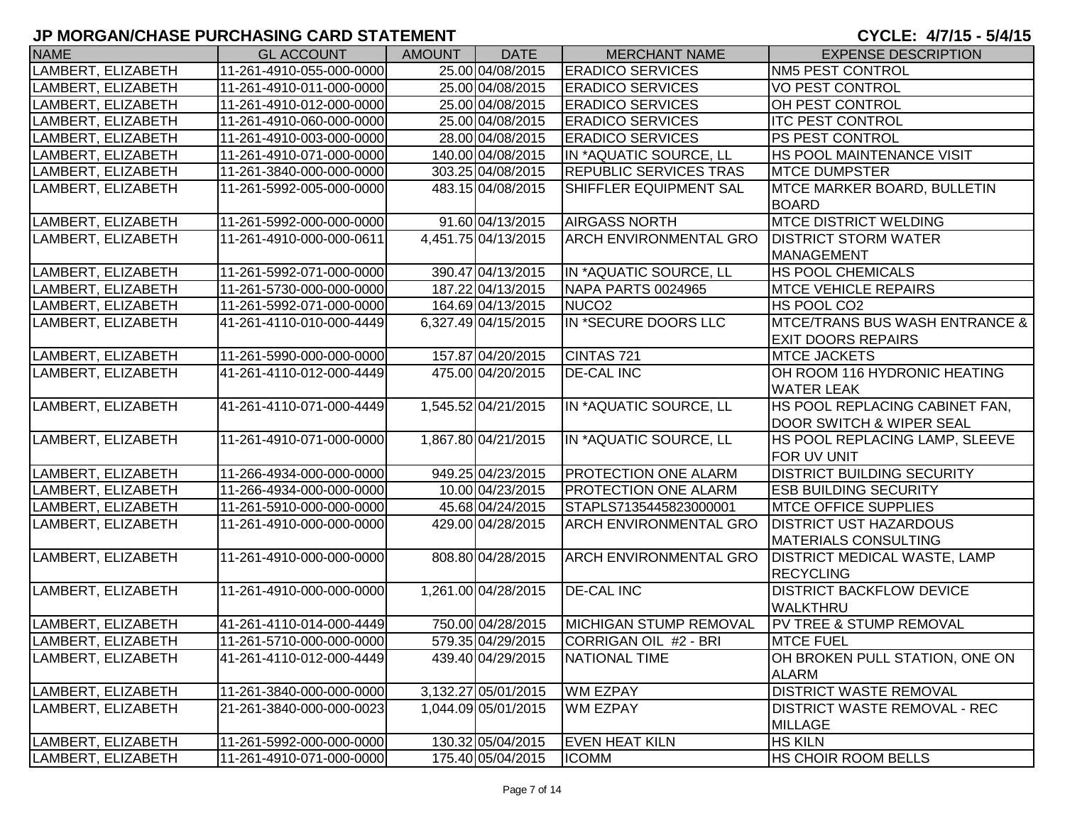| <b>NAME</b>        | <b>GL ACCOUNT</b>        | <b>AMOUNT</b> | <b>DATE</b>         | <b>MERCHANT NAME</b>          | <b>EXPENSE DESCRIPTION</b>                |
|--------------------|--------------------------|---------------|---------------------|-------------------------------|-------------------------------------------|
| LAMBERT, ELIZABETH | 11-261-4910-055-000-0000 |               | 25.00 04/08/2015    | <b>ERADICO SERVICES</b>       | <b>NM5 PEST CONTROL</b>                   |
| LAMBERT, ELIZABETH | 11-261-4910-011-000-0000 |               | 25.00 04/08/2015    | <b>ERADICO SERVICES</b>       | <b>VO PEST CONTROL</b>                    |
| LAMBERT, ELIZABETH | 11-261-4910-012-000-0000 |               | 25.00 04/08/2015    | <b>ERADICO SERVICES</b>       | <b>OH PEST CONTROL</b>                    |
| LAMBERT, ELIZABETH | 11-261-4910-060-000-0000 |               | 25.00 04/08/2015    | <b>ERADICO SERVICES</b>       | <b>ITC PEST CONTROL</b>                   |
| LAMBERT, ELIZABETH | 11-261-4910-003-000-0000 |               | 28.00 04/08/2015    | <b>ERADICO SERVICES</b>       | <b>PS PEST CONTROL</b>                    |
| LAMBERT, ELIZABETH | 11-261-4910-071-000-0000 |               | 140.00 04/08/2015   | IN *AQUATIC SOURCE, LL        | <b>HS POOL MAINTENANCE VISIT</b>          |
| LAMBERT, ELIZABETH | 11-261-3840-000-000-0000 |               | 303.25 04/08/2015   | <b>REPUBLIC SERVICES TRAS</b> | <b>MTCE DUMPSTER</b>                      |
| LAMBERT, ELIZABETH | 11-261-5992-005-000-0000 |               | 483.15 04/08/2015   | SHIFFLER EQUIPMENT SAL        | <b>MTCE MARKER BOARD, BULLETIN</b>        |
|                    |                          |               |                     |                               | <b>BOARD</b>                              |
| LAMBERT, ELIZABETH | 11-261-5992-000-000-0000 |               | 91.60 04/13/2015    | <b>AIRGASS NORTH</b>          | <b>MTCE DISTRICT WELDING</b>              |
| LAMBERT, ELIZABETH | 11-261-4910-000-000-0611 |               | 4,451.75 04/13/2015 | ARCH ENVIRONMENTAL GRO        | <b>DISTRICT STORM WATER</b>               |
|                    |                          |               |                     |                               | MANAGEMENT                                |
| LAMBERT, ELIZABETH | 11-261-5992-071-000-0000 |               | 390.47 04/13/2015   | IN *AQUATIC SOURCE, LL        | <b>HS POOL CHEMICALS</b>                  |
| LAMBERT, ELIZABETH | 11-261-5730-000-000-0000 |               | 187.22 04/13/2015   | NAPA PARTS 0024965            | <b>IMTCE VEHICLE REPAIRS</b>              |
| LAMBERT, ELIZABETH | 11-261-5992-071-000-0000 |               | 164.69 04/13/2015   | NUCO <sub>2</sub>             | HS POOL CO2                               |
| LAMBERT, ELIZABETH | 41-261-4110-010-000-4449 |               | 6,327.49 04/15/2015 | IN *SECURE DOORS LLC          | <b>MTCE/TRANS BUS WASH ENTRANCE &amp;</b> |
|                    |                          |               |                     |                               | <b>EXIT DOORS REPAIRS</b>                 |
| LAMBERT, ELIZABETH | 11-261-5990-000-000-0000 |               | 157.87 04/20/2015   | CINTAS 721                    | <b>MTCE JACKETS</b>                       |
| LAMBERT, ELIZABETH | 41-261-4110-012-000-4449 |               | 475.00 04/20/2015   | <b>DE-CAL INC</b>             | OH ROOM 116 HYDRONIC HEATING              |
|                    |                          |               |                     |                               | <b>WATER LEAK</b>                         |
| LAMBERT, ELIZABETH | 41-261-4110-071-000-4449 |               | 1,545.52 04/21/2015 | IN *AQUATIC SOURCE, LL        | HS POOL REPLACING CABINET FAN,            |
|                    |                          |               |                     |                               | DOOR SWITCH & WIPER SEAL                  |
| LAMBERT, ELIZABETH | 11-261-4910-071-000-0000 |               | 1,867.80 04/21/2015 | IN *AQUATIC SOURCE, LL        | HS POOL REPLACING LAMP, SLEEVE            |
|                    |                          |               |                     |                               | FOR UV UNIT                               |
| LAMBERT, ELIZABETH | 11-266-4934-000-000-0000 |               | 949.25 04/23/2015   | PROTECTION ONE ALARM          | <b>DISTRICT BUILDING SECURITY</b>         |
| LAMBERT, ELIZABETH | 11-266-4934-000-000-0000 |               | 10.00 04/23/2015    | <b>PROTECTION ONE ALARM</b>   | <b>ESB BUILDING SECURITY</b>              |
| LAMBERT, ELIZABETH | 11-261-5910-000-000-0000 |               | 45.68 04/24/2015    | STAPLS7135445823000001        | <b>MTCE OFFICE SUPPLIES</b>               |
| LAMBERT, ELIZABETH | 11-261-4910-000-000-0000 |               | 429.00 04/28/2015   | <b>ARCH ENVIRONMENTAL GRO</b> | <b>DISTRICT UST HAZARDOUS</b>             |
|                    |                          |               |                     |                               | <b>MATERIALS CONSULTING</b>               |
| LAMBERT, ELIZABETH | 11-261-4910-000-000-0000 |               | 808.80 04/28/2015   | <b>ARCH ENVIRONMENTAL GRO</b> | <b>DISTRICT MEDICAL WASTE, LAMP</b>       |
|                    |                          |               |                     |                               | <b>RECYCLING</b>                          |
| LAMBERT, ELIZABETH | 11-261-4910-000-000-0000 |               | 1,261.00 04/28/2015 | <b>DE-CAL INC</b>             | <b>DISTRICT BACKFLOW DEVICE</b>           |
|                    |                          |               |                     |                               | <b>WALKTHRU</b>                           |
| LAMBERT, ELIZABETH | 41-261-4110-014-000-4449 |               | 750.00 04/28/2015   | MICHIGAN STUMP REMOVAL        | PV TREE & STUMP REMOVAL                   |
| LAMBERT, ELIZABETH | 11-261-5710-000-000-0000 |               | 579.35 04/29/2015   | CORRIGAN OIL #2 - BRI         | <b>MTCE FUEL</b>                          |
| LAMBERT, ELIZABETH | 41-261-4110-012-000-4449 |               | 439.40 04/29/2015   | <b>NATIONAL TIME</b>          | OH BROKEN PULL STATION, ONE ON            |
|                    |                          |               |                     |                               | <b>ALARM</b>                              |
| LAMBERT, ELIZABETH | 11-261-3840-000-000-0000 |               | 3,132.27 05/01/2015 | <b>WM EZPAY</b>               | <b>DISTRICT WASTE REMOVAL</b>             |
| LAMBERT, ELIZABETH | 21-261-3840-000-000-0023 |               | 1,044.09 05/01/2015 | WM EZPAY                      | DISTRICT WASTE REMOVAL - REC              |
|                    |                          |               |                     |                               | <b>MILLAGE</b>                            |
| LAMBERT, ELIZABETH | 11-261-5992-000-000-0000 |               | 130.32 05/04/2015   | <b>EVEN HEAT KILN</b>         | <b>HS KILN</b>                            |
| LAMBERT, ELIZABETH | 11-261-4910-071-000-0000 |               | 175.40 05/04/2015   | <b>ICOMM</b>                  | <b>HS CHOIR ROOM BELLS</b>                |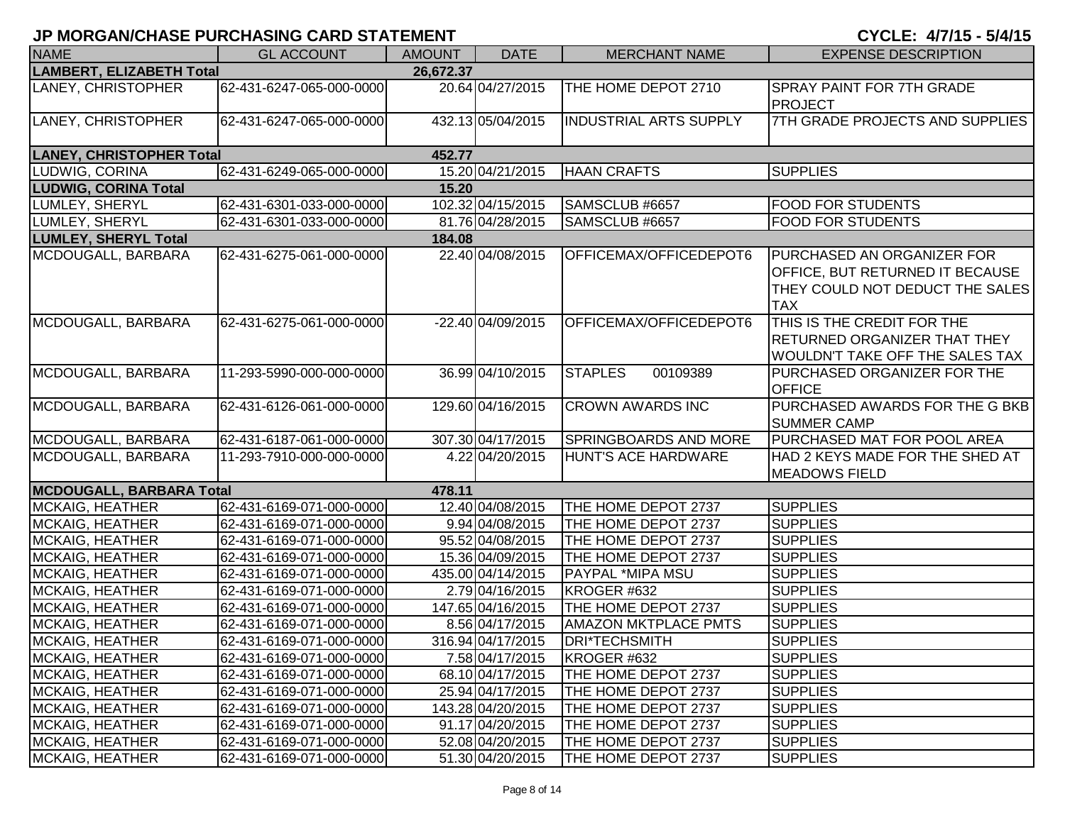| <b>NAME</b>                     | <b>GL ACCOUNT</b>        | <b>AMOUNT</b> | <b>DATE</b>       | <b>MERCHANT NAME</b>         | <b>EXPENSE DESCRIPTION</b>                                                                                                   |
|---------------------------------|--------------------------|---------------|-------------------|------------------------------|------------------------------------------------------------------------------------------------------------------------------|
| <b>LAMBERT, ELIZABETH Total</b> |                          | 26,672.37     |                   |                              |                                                                                                                              |
| LANEY, CHRISTOPHER              | 62-431-6247-065-000-0000 |               | 20.64 04/27/2015  | THE HOME DEPOT 2710          | SPRAY PAINT FOR 7TH GRADE<br>PROJECT                                                                                         |
| LANEY, CHRISTOPHER              | 62-431-6247-065-000-0000 |               | 432.13 05/04/2015 | INDUSTRIAL ARTS SUPPLY       | 7TH GRADE PROJECTS AND SUPPLIES                                                                                              |
| <b>LANEY, CHRISTOPHER Total</b> |                          | 452.77        |                   |                              |                                                                                                                              |
| LUDWIG, CORINA                  | 62-431-6249-065-000-0000 |               | 15.20 04/21/2015  | <b>HAAN CRAFTS</b>           | <b>SUPPLIES</b>                                                                                                              |
| <b>LUDWIG, CORINA Total</b>     |                          | 15.20         |                   |                              |                                                                                                                              |
| LUMLEY, SHERYL                  | 62-431-6301-033-000-0000 |               | 102.32 04/15/2015 | SAMSCLUB #6657               | <b>FOOD FOR STUDENTS</b>                                                                                                     |
| LUMLEY, SHERYL                  | 62-431-6301-033-000-0000 |               | 81.76 04/28/2015  | SAMSCLUB #6657               | <b>FOOD FOR STUDENTS</b>                                                                                                     |
| <b>LUMLEY, SHERYL Total</b>     |                          | 184.08        |                   |                              |                                                                                                                              |
| MCDOUGALL, BARBARA              | 62-431-6275-061-000-0000 |               | 22.40 04/08/2015  | OFFICEMAX/OFFICEDEPOT6       | <b>PURCHASED AN ORGANIZER FOR</b><br><b>OFFICE, BUT RETURNED IT BECAUSE</b><br>THEY COULD NOT DEDUCT THE SALES<br><b>TAX</b> |
| MCDOUGALL, BARBARA              | 62-431-6275-061-000-0000 |               | -22.40 04/09/2015 | OFFICEMAX/OFFICEDEPOT6       | THIS IS THE CREDIT FOR THE<br><b>RETURNED ORGANIZER THAT THEY</b><br>WOULDN'T TAKE OFF THE SALES TAX                         |
| MCDOUGALL, BARBARA              | 11-293-5990-000-000-0000 |               | 36.99 04/10/2015  | <b>STAPLES</b><br>00109389   | PURCHASED ORGANIZER FOR THE<br><b>OFFICE</b>                                                                                 |
| MCDOUGALL, BARBARA              | 62-431-6126-061-000-0000 |               | 129.60 04/16/2015 | <b>CROWN AWARDS INC</b>      | PURCHASED AWARDS FOR THE G BKB<br><b>SUMMER CAMP</b>                                                                         |
| MCDOUGALL, BARBARA              | 62-431-6187-061-000-0000 |               | 307.30 04/17/2015 | <b>SPRINGBOARDS AND MORE</b> | PURCHASED MAT FOR POOL AREA                                                                                                  |
| MCDOUGALL, BARBARA              | 11-293-7910-000-000-0000 |               | 4.22 04/20/2015   | HUNT'S ACE HARDWARE          | HAD 2 KEYS MADE FOR THE SHED AT<br><b>MEADOWS FIELD</b>                                                                      |
| <b>MCDOUGALL, BARBARA Total</b> |                          | 478.11        |                   |                              |                                                                                                                              |
| <b>MCKAIG, HEATHER</b>          | 62-431-6169-071-000-0000 |               | 12.40 04/08/2015  | THE HOME DEPOT 2737          | <b>SUPPLIES</b>                                                                                                              |
| <b>MCKAIG, HEATHER</b>          | 62-431-6169-071-000-0000 |               | 9.94 04/08/2015   | THE HOME DEPOT 2737          | <b>SUPPLIES</b>                                                                                                              |
| <b>MCKAIG, HEATHER</b>          | 62-431-6169-071-000-0000 |               | 95.52 04/08/2015  | THE HOME DEPOT 2737          | <b>SUPPLIES</b>                                                                                                              |
| <b>MCKAIG, HEATHER</b>          | 62-431-6169-071-000-0000 |               | 15.36 04/09/2015  | THE HOME DEPOT 2737          | <b>SUPPLIES</b>                                                                                                              |
| <b>MCKAIG, HEATHER</b>          | 62-431-6169-071-000-0000 |               | 435.00 04/14/2015 | <b>PAYPAL *MIPA MSU</b>      | <b>SUPPLIES</b>                                                                                                              |
| <b>MCKAIG, HEATHER</b>          | 62-431-6169-071-000-0000 |               | 2.79 04/16/2015   | KROGER #632                  | <b>SUPPLIES</b>                                                                                                              |
| <b>MCKAIG, HEATHER</b>          | 62-431-6169-071-000-0000 |               | 147.65 04/16/2015 | THE HOME DEPOT 2737          | <b>SUPPLIES</b>                                                                                                              |
| MCKAIG, HEATHER                 | 62-431-6169-071-000-0000 |               | 8.56 04/17/2015   | <b>AMAZON MKTPLACE PMTS</b>  | <b>SUPPLIES</b>                                                                                                              |
| <b>MCKAIG, HEATHER</b>          | 62-431-6169-071-000-0000 |               | 316.94 04/17/2015 | DRI*TECHSMITH                | <b>SUPPLIES</b>                                                                                                              |
| <b>MCKAIG, HEATHER</b>          | 62-431-6169-071-000-0000 |               | 7.58 04/17/2015   | KROGER #632                  | <b>SUPPLIES</b>                                                                                                              |
| <b>MCKAIG, HEATHER</b>          | 62-431-6169-071-000-0000 |               | 68.10 04/17/2015  | THE HOME DEPOT 2737          | <b>SUPPLIES</b>                                                                                                              |
| <b>MCKAIG, HEATHER</b>          | 62-431-6169-071-000-0000 |               | 25.94 04/17/2015  | THE HOME DEPOT 2737          | <b>SUPPLIES</b>                                                                                                              |
| <b>MCKAIG, HEATHER</b>          | 62-431-6169-071-000-0000 |               | 143.28 04/20/2015 | THE HOME DEPOT 2737          | <b>SUPPLIES</b>                                                                                                              |
| <b>MCKAIG, HEATHER</b>          | 62-431-6169-071-000-0000 |               | 91.17 04/20/2015  | THE HOME DEPOT 2737          | <b>SUPPLIES</b>                                                                                                              |
| <b>MCKAIG, HEATHER</b>          | 62-431-6169-071-000-0000 |               | 52.08 04/20/2015  | THE HOME DEPOT 2737          | <b>SUPPLIES</b>                                                                                                              |
| MCKAIG, HEATHER                 | 62-431-6169-071-000-0000 |               | 51.30 04/20/2015  | THE HOME DEPOT 2737          | <b>SUPPLIES</b>                                                                                                              |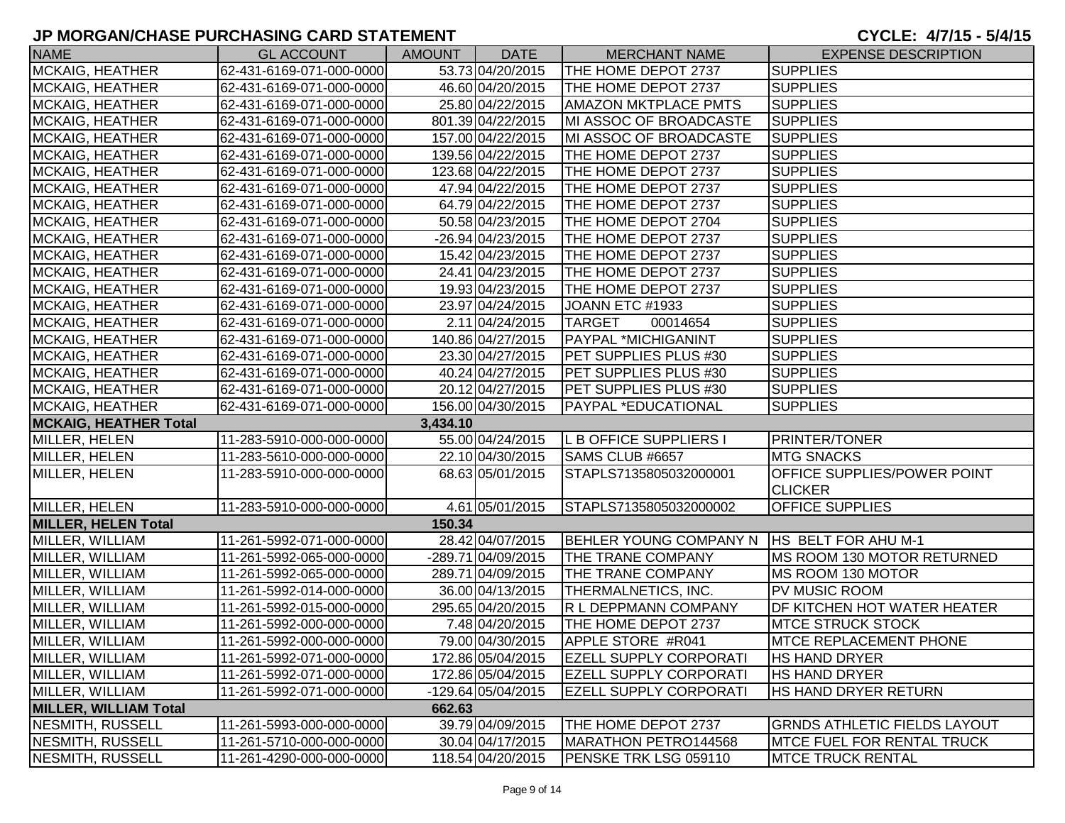| <b>NAME</b>                  | <b>GL ACCOUNT</b>        | <b>AMOUNT</b> | <b>DATE</b>          | <b>MERCHANT NAME</b>           | <b>EXPENSE DESCRIPTION</b>          |
|------------------------------|--------------------------|---------------|----------------------|--------------------------------|-------------------------------------|
| MCKAIG, HEATHER              | 62-431-6169-071-000-0000 |               | 53.73 04/20/2015     | THE HOME DEPOT 2737            | <b>SUPPLIES</b>                     |
| <b>MCKAIG, HEATHER</b>       | 62-431-6169-071-000-0000 |               | 46.60 04/20/2015     | THE HOME DEPOT 2737            | <b>SUPPLIES</b>                     |
| <b>MCKAIG, HEATHER</b>       | 62-431-6169-071-000-0000 |               | 25.80 04/22/2015     | <b>AMAZON MKTPLACE PMTS</b>    | <b>SUPPLIES</b>                     |
| <b>MCKAIG, HEATHER</b>       | 62-431-6169-071-000-0000 |               | 801.39 04/22/2015    | MI ASSOC OF BROADCASTE         | <b>SUPPLIES</b>                     |
| MCKAIG, HEATHER              | 62-431-6169-071-000-0000 |               | 157.00 04/22/2015    | MI ASSOC OF BROADCASTE         | <b>SUPPLIES</b>                     |
| MCKAIG, HEATHER              | 62-431-6169-071-000-0000 |               | 139.56 04/22/2015    | THE HOME DEPOT 2737            | <b>SUPPLIES</b>                     |
| <b>MCKAIG, HEATHER</b>       | 62-431-6169-071-000-0000 |               | 123.68 04/22/2015    | THE HOME DEPOT 2737            | <b>SUPPLIES</b>                     |
| <b>MCKAIG, HEATHER</b>       | 62-431-6169-071-000-0000 |               | 47.94 04/22/2015     | THE HOME DEPOT 2737            | <b>SUPPLIES</b>                     |
| MCKAIG, HEATHER              | 62-431-6169-071-000-0000 |               | 64.79 04/22/2015     | THE HOME DEPOT 2737            | <b>SUPPLIES</b>                     |
| <b>MCKAIG, HEATHER</b>       | 62-431-6169-071-000-0000 |               | 50.58 04/23/2015     | THE HOME DEPOT 2704            | <b>SUPPLIES</b>                     |
| MCKAIG, HEATHER              | 62-431-6169-071-000-0000 |               | -26.94 04/23/2015    | THE HOME DEPOT 2737            | <b>SUPPLIES</b>                     |
| <b>MCKAIG, HEATHER</b>       | 62-431-6169-071-000-0000 |               | 15.42 04/23/2015     | THE HOME DEPOT 2737            | <b>SUPPLIES</b>                     |
| <b>MCKAIG, HEATHER</b>       | 62-431-6169-071-000-0000 |               | 24.41 04/23/2015     | THE HOME DEPOT 2737            | <b>SUPPLIES</b>                     |
| <b>MCKAIG, HEATHER</b>       | 62-431-6169-071-000-0000 |               | 19.93 04/23/2015     | THE HOME DEPOT 2737            | <b>SUPPLIES</b>                     |
| <b>MCKAIG, HEATHER</b>       | 62-431-6169-071-000-0000 |               | 23.97 04/24/2015     | JOANN ETC #1933                | <b>SUPPLIES</b>                     |
| <b>MCKAIG, HEATHER</b>       | 62-431-6169-071-000-0000 |               | 2.11 04/24/2015      | <b>TARGET</b><br>00014654      | <b>SUPPLIES</b>                     |
| <b>MCKAIG, HEATHER</b>       | 62-431-6169-071-000-0000 |               | 140.86 04/27/2015    | PAYPAL *MICHIGANINT            | <b>SUPPLIES</b>                     |
| MCKAIG, HEATHER              | 62-431-6169-071-000-0000 |               | 23.30 04/27/2015     | <b>PET SUPPLIES PLUS #30</b>   | <b>SUPPLIES</b>                     |
| <b>MCKAIG, HEATHER</b>       | 62-431-6169-071-000-0000 |               | 40.24 04/27/2015     | <b>PET SUPPLIES PLUS #30</b>   | <b>SUPPLIES</b>                     |
| <b>MCKAIG, HEATHER</b>       | 62-431-6169-071-000-0000 |               | 20.12 04/27/2015     | <b>PET SUPPLIES PLUS #30</b>   | <b>SUPPLIES</b>                     |
| <b>MCKAIG, HEATHER</b>       | 62-431-6169-071-000-0000 |               | 156.00 04/30/2015    | <b>PAYPAL *EDUCATIONAL</b>     | <b>SUPPLIES</b>                     |
| <b>MCKAIG, HEATHER Total</b> |                          | 3,434.10      |                      |                                |                                     |
| MILLER, HELEN                | 11-283-5910-000-000-0000 |               | 55.00 04/24/2015     | L B OFFICE SUPPLIERS I         | <b>PRINTER/TONER</b>                |
| MILLER, HELEN                | 11-283-5610-000-000-0000 |               | 22.10 04/30/2015     | SAMS CLUB #6657                | <b>MTG SNACKS</b>                   |
| MILLER, HELEN                | 11-283-5910-000-000-0000 |               | 68.63 05/01/2015     | STAPLS7135805032000001         | <b>OFFICE SUPPLIES/POWER POINT</b>  |
|                              |                          |               |                      |                                | <b>CLICKER</b>                      |
| MILLER, HELEN                | 11-283-5910-000-000-0000 |               | 4.61 05/01/2015      | STAPLS7135805032000002         | <b>OFFICE SUPPLIES</b>              |
| <b>MILLER, HELEN Total</b>   |                          | 150.34        |                      |                                |                                     |
| MILLER, WILLIAM              | 11-261-5992-071-000-0000 |               | 28.42 04/07/2015     | BEHLER YOUNG COMPANY N         | <b>HS BELT FOR AHU M-1</b>          |
| MILLER, WILLIAM              | 11-261-5992-065-000-0000 |               | $-289.71$ 04/09/2015 | <b>THE TRANE COMPANY</b>       | MS ROOM 130 MOTOR RETURNED          |
| MILLER, WILLIAM              | 11-261-5992-065-000-0000 |               | 289.71 04/09/2015    | <b>THE TRANE COMPANY</b>       | MS ROOM 130 MOTOR                   |
| MILLER, WILLIAM              | 11-261-5992-014-000-0000 |               | 36.00 04/13/2015     | <b>THERMALNETICS, INC.</b>     | PV MUSIC ROOM                       |
| MILLER, WILLIAM              | 11-261-5992-015-000-0000 |               | 295.65 04/20/2015    | R L DEPPMANN COMPANY           | <b>DF KITCHEN HOT WATER HEATER</b>  |
| MILLER, WILLIAM              | 11-261-5992-000-000-0000 |               | 7.48 04/20/2015      | THE HOME DEPOT 2737            | <b>MTCE STRUCK STOCK</b>            |
| MILLER, WILLIAM              | 11-261-5992-000-000-0000 |               | 79.00 04/30/2015     | APPLE STORE #R041              | <b>IMTCE REPLACEMENT PHONE</b>      |
| MILLER, WILLIAM              | 11-261-5992-071-000-0000 |               | 172.86 05/04/2015    | <b> EZELL SUPPLY CORPORATI</b> | <b>HS HAND DRYER</b>                |
| MILLER, WILLIAM              | 11-261-5992-071-000-0000 |               | 172.86 05/04/2015    | <b>EZELL SUPPLY CORPORATI</b>  | <b>HS HAND DRYER</b>                |
| MILLER, WILLIAM              | 11-261-5992-071-000-0000 |               | -129.64 05/04/2015   | <b>EZELL SUPPLY CORPORATI</b>  | HS HAND DRYER RETURN                |
| <b>MILLER, WILLIAM Total</b> |                          | 662.63        |                      |                                |                                     |
| NESMITH, RUSSELL             | 11-261-5993-000-000-0000 |               | 39.79 04/09/2015     | THE HOME DEPOT 2737            | <b>GRNDS ATHLETIC FIELDS LAYOUT</b> |
| NESMITH, RUSSELL             | 11-261-5710-000-000-0000 |               | 30.04 04/17/2015     | MARATHON PETRO144568           | <b>IMTCE FUEL FOR RENTAL TRUCK</b>  |
| <b>NESMITH, RUSSELL</b>      | 11-261-4290-000-000-0000 |               | 118.54 04/20/2015    | PENSKE TRK LSG 059110          | <b>MTCE TRUCK RENTAL</b>            |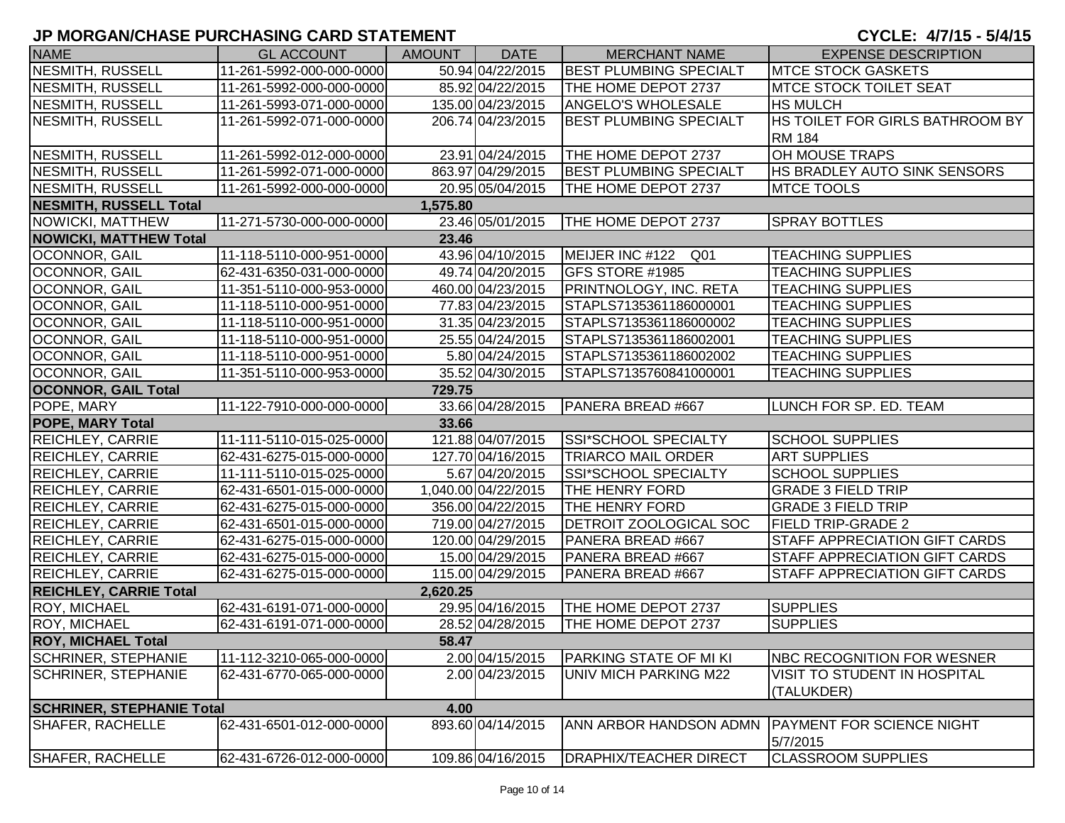| <b>NAME</b>                      | <b>GL ACCOUNT</b>        | <b>AMOUNT</b> | <b>DATE</b>         | <b>MERCHANT NAME</b>          | <b>EXPENSE DESCRIPTION</b>                   |
|----------------------------------|--------------------------|---------------|---------------------|-------------------------------|----------------------------------------------|
| NESMITH, RUSSELL                 | 11-261-5992-000-000-0000 |               | 50.94 04/22/2015    | <b>BEST PLUMBING SPECIALT</b> | <b>IMTCE STOCK GASKETS</b>                   |
| NESMITH, RUSSELL                 | 11-261-5992-000-000-0000 |               | 85.92 04/22/2015    | THE HOME DEPOT 2737           | <b>MTCE STOCK TOILET SEAT</b>                |
| NESMITH, RUSSELL                 | 11-261-5993-071-000-0000 |               | 135.00 04/23/2015   | <b>ANGELO'S WHOLESALE</b>     | <b>HS MULCH</b>                              |
| NESMITH, RUSSELL                 | 11-261-5992-071-000-0000 |               | 206.74 04/23/2015   | <b>BEST PLUMBING SPECIALT</b> | HS TOILET FOR GIRLS BATHROOM BY              |
|                                  |                          |               |                     |                               | <b>RM 184</b>                                |
| NESMITH, RUSSELL                 | 11-261-5992-012-000-0000 |               | 23.91 04/24/2015    | THE HOME DEPOT 2737           | OH MOUSE TRAPS                               |
| NESMITH, RUSSELL                 | 11-261-5992-071-000-0000 |               | 863.97 04/29/2015   | <b>BEST PLUMBING SPECIALT</b> | HS BRADLEY AUTO SINK SENSORS                 |
| NESMITH, RUSSELL                 | 11-261-5992-000-000-0000 |               | 20.95 05/04/2015    | THE HOME DEPOT 2737           | <b>MTCE TOOLS</b>                            |
| <b>NESMITH, RUSSELL Total</b>    |                          | 1,575.80      |                     |                               |                                              |
| NOWICKI, MATTHEW                 | 11-271-5730-000-000-0000 |               | 23.46 05/01/2015    | THE HOME DEPOT 2737           | <b>SPRAY BOTTLES</b>                         |
| <b>NOWICKI, MATTHEW Total</b>    |                          | 23.46         |                     |                               |                                              |
| OCONNOR, GAIL                    | 11-118-5110-000-951-0000 |               | 43.96 04/10/2015    | MEIJER INC #122 Q01           | <b>TEACHING SUPPLIES</b>                     |
| OCONNOR, GAIL                    | 62-431-6350-031-000-0000 |               | 49.74 04/20/2015    | GFS STORE #1985               | <b>TEACHING SUPPLIES</b>                     |
| OCONNOR, GAIL                    | 11-351-5110-000-953-0000 |               | 460.00 04/23/2015   | PRINTNOLOGY, INC. RETA        | <b>TEACHING SUPPLIES</b>                     |
| OCONNOR, GAIL                    | 11-118-5110-000-951-0000 |               | 77.83 04/23/2015    | STAPLS7135361186000001        | <b>TEACHING SUPPLIES</b>                     |
| OCONNOR, GAIL                    | 11-118-5110-000-951-0000 |               | 31.35 04/23/2015    | STAPLS7135361186000002        | <b>TEACHING SUPPLIES</b>                     |
| OCONNOR, GAIL                    | 11-118-5110-000-951-0000 |               | 25.55 04/24/2015    | STAPLS7135361186002001        | <b>TEACHING SUPPLIES</b>                     |
| OCONNOR, GAIL                    | 11-118-5110-000-951-0000 |               | 5.80 04/24/2015     | STAPLS7135361186002002        | <b>TEACHING SUPPLIES</b>                     |
| OCONNOR, GAIL                    | 11-351-5110-000-953-0000 |               | 35.52 04/30/2015    | STAPLS7135760841000001        | <b>TEACHING SUPPLIES</b>                     |
| <b>OCONNOR, GAIL Total</b>       |                          | 729.75        |                     |                               |                                              |
| POPE, MARY                       | 11-122-7910-000-000-0000 |               | 33.66 04/28/2015    | PANERA BREAD #667             | LUNCH FOR SP. ED. TEAM                       |
| <b>POPE, MARY Total</b>          |                          | 33.66         |                     |                               |                                              |
| <b>REICHLEY, CARRIE</b>          | 11-111-5110-015-025-0000 |               | 121.88 04/07/2015   | <b>SSI*SCHOOL SPECIALTY</b>   | <b>SCHOOL SUPPLIES</b>                       |
| <b>REICHLEY, CARRIE</b>          | 62-431-6275-015-000-0000 |               | 127.70 04/16/2015   | <b>TRIARCO MAIL ORDER</b>     | <b>ART SUPPLIES</b>                          |
| <b>REICHLEY, CARRIE</b>          | 11-111-5110-015-025-0000 |               | 5.67 04/20/2015     | SSI*SCHOOL SPECIALTY          | <b>SCHOOL SUPPLIES</b>                       |
| <b>REICHLEY, CARRIE</b>          | 62-431-6501-015-000-0000 |               | 1,040.00 04/22/2015 | THE HENRY FORD                | <b>GRADE 3 FIELD TRIP</b>                    |
| <b>REICHLEY, CARRIE</b>          | 62-431-6275-015-000-0000 |               | 356.00 04/22/2015   | THE HENRY FORD                | <b>GRADE 3 FIELD TRIP</b>                    |
| <b>REICHLEY, CARRIE</b>          | 62-431-6501-015-000-0000 |               | 719.00 04/27/2015   | DETROIT ZOOLOGICAL SOC        | <b>FIELD TRIP-GRADE 2</b>                    |
| <b>REICHLEY, CARRIE</b>          | 62-431-6275-015-000-0000 |               | 120.00 04/29/2015   | PANERA BREAD #667             | <b>STAFF APPRECIATION GIFT CARDS</b>         |
| <b>REICHLEY, CARRIE</b>          | 62-431-6275-015-000-0000 |               | 15.00 04/29/2015    | PANERA BREAD #667             | STAFF APPRECIATION GIFT CARDS                |
| <b>REICHLEY, CARRIE</b>          | 62-431-6275-015-000-0000 |               | 115.00 04/29/2015   | PANERA BREAD #667             | <b>STAFF APPRECIATION GIFT CARDS</b>         |
| <b>REICHLEY, CARRIE Total</b>    |                          | 2,620.25      |                     |                               |                                              |
| ROY, MICHAEL                     | 62-431-6191-071-000-0000 |               | 29.95 04/16/2015    | THE HOME DEPOT 2737           | <b>SUPPLIES</b>                              |
| <b>ROY, MICHAEL</b>              | 62-431-6191-071-000-0000 |               | 28.52 04/28/2015    | THE HOME DEPOT 2737           | <b>SUPPLIES</b>                              |
| <b>ROY, MICHAEL Total</b>        |                          | 58.47         |                     |                               |                                              |
| <b>SCHRINER, STEPHANIE</b>       | 11-112-3210-065-000-0000 |               | 2.00 04/15/2015     | PARKING STATE OF MI KI        | NBC RECOGNITION FOR WESNER                   |
| <b>SCHRINER, STEPHANIE</b>       | 62-431-6770-065-000-0000 |               | 2.00 04/23/2015     | UNIV MICH PARKING M22         | VISIT TO STUDENT IN HOSPITAL                 |
|                                  |                          |               |                     |                               | (TALUKDER)                                   |
| <b>SCHRINER, STEPHANIE Total</b> |                          | 4.00          |                     |                               |                                              |
| <b>SHAFER, RACHELLE</b>          | 62-431-6501-012-000-0000 |               | 893.60 04/14/2015   | ANN ARBOR HANDSON ADMN        | <b>PAYMENT FOR SCIENCE NIGHT</b><br>5/7/2015 |
| SHAFER, RACHELLE                 | 62-431-6726-012-000-0000 |               | 109.86 04/16/2015   | <b>DRAPHIX/TEACHER DIRECT</b> | <b>CLASSROOM SUPPLIES</b>                    |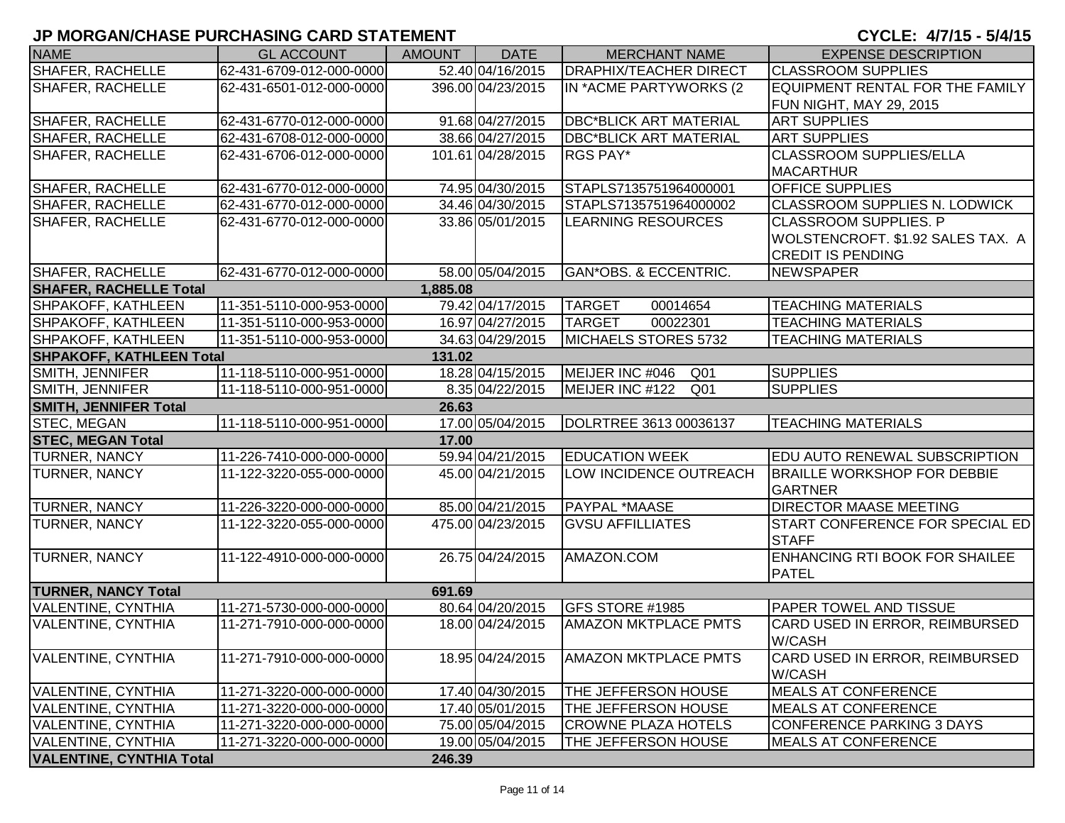| <b>NAME</b>                     | <b>GL ACCOUNT</b>        | <b>AMOUNT</b> | <b>DATE</b>       | <b>MERCHANT NAME</b>               | <b>EXPENSE DESCRIPTION</b>                           |
|---------------------------------|--------------------------|---------------|-------------------|------------------------------------|------------------------------------------------------|
| <b>SHAFER, RACHELLE</b>         | 62-431-6709-012-000-0000 |               | 52.40 04/16/2015  | DRAPHIX/TEACHER DIRECT             | <b>ICLASSROOM SUPPLIES</b>                           |
| <b>SHAFER, RACHELLE</b>         | 62-431-6501-012-000-0000 |               | 396.00 04/23/2015 | IN *ACME PARTYWORKS (2             | EQUIPMENT RENTAL FOR THE FAMILY                      |
|                                 |                          |               |                   |                                    | FUN NIGHT, MAY 29, 2015                              |
| SHAFER, RACHELLE                | 62-431-6770-012-000-0000 |               | 91.68 04/27/2015  | <b>DBC*BLICK ART MATERIAL</b>      | <b>ART SUPPLIES</b>                                  |
| <b>SHAFER, RACHELLE</b>         | 62-431-6708-012-000-0000 |               | 38.66 04/27/2015  | <b>DBC*BLICK ART MATERIAL</b>      | <b>ART SUPPLIES</b>                                  |
| <b>SHAFER, RACHELLE</b>         | 62-431-6706-012-000-0000 |               | 101.61 04/28/2015 | RGS PAY*                           | <b>CLASSROOM SUPPLIES/ELLA</b>                       |
|                                 |                          |               |                   |                                    | <b>MACARTHUR</b>                                     |
| <b>SHAFER, RACHELLE</b>         | 62-431-6770-012-000-0000 |               | 74.95 04/30/2015  | STAPLS7135751964000001             | <b>OFFICE SUPPLIES</b>                               |
| <b>SHAFER, RACHELLE</b>         | 62-431-6770-012-000-0000 |               | 34.46 04/30/2015  | STAPLS7135751964000002             | <b>CLASSROOM SUPPLIES N. LODWICK</b>                 |
| <b>SHAFER, RACHELLE</b>         | 62-431-6770-012-000-0000 |               | 33.86 05/01/2015  | <b>LEARNING RESOURCES</b>          | <b>CLASSROOM SUPPLIES. P</b>                         |
|                                 |                          |               |                   |                                    | WOLSTENCROFT. \$1.92 SALES TAX. A                    |
|                                 |                          |               |                   |                                    | <b>CREDIT IS PENDING</b>                             |
| <b>SHAFER, RACHELLE</b>         | 62-431-6770-012-000-0000 |               | 58.00 05/04/2015  | GAN*OBS. & ECCENTRIC.              | NEWSPAPER                                            |
| <b>SHAFER, RACHELLE Total</b>   |                          | 1,885.08      |                   |                                    |                                                      |
| <b>SHPAKOFF, KATHLEEN</b>       | 11-351-5110-000-953-0000 |               | 79.42 04/17/2015  | <b>TARGET</b><br>00014654          | <b>TEACHING MATERIALS</b>                            |
| SHPAKOFF, KATHLEEN              | 11-351-5110-000-953-0000 |               | 16.97 04/27/2015  | <b>TARGET</b><br>00022301          | <b>TEACHING MATERIALS</b>                            |
| SHPAKOFF, KATHLEEN              | 11-351-5110-000-953-0000 |               | 34.63 04/29/2015  | MICHAELS STORES 5732               | <b>TEACHING MATERIALS</b>                            |
| <b>SHPAKOFF, KATHLEEN Total</b> |                          | 131.02        |                   |                                    |                                                      |
| SMITH, JENNIFER                 | 11-118-5110-000-951-0000 |               | 18.28 04/15/2015  | MEIJER INC #046<br>Q <sub>01</sub> | <b>SUPPLIES</b>                                      |
| <b>SMITH, JENNIFER</b>          | 11-118-5110-000-951-0000 |               | 8.35 04/22/2015   | MEIJER INC #122<br>Q <sub>01</sub> | <b>SUPPLIES</b>                                      |
| <b>SMITH, JENNIFER Total</b>    |                          | 26.63         |                   |                                    |                                                      |
| <b>STEC, MEGAN</b>              | 11-118-5110-000-951-0000 |               | 17.00 05/04/2015  | DOLRTREE 3613 00036137             | <b>TEACHING MATERIALS</b>                            |
| <b>STEC, MEGAN Total</b>        |                          | 17.00         |                   |                                    |                                                      |
| TURNER, NANCY                   | 11-226-7410-000-000-0000 |               | 59.94 04/21/2015  | <b>EDUCATION WEEK</b>              | <b>EDU AUTO RENEWAL SUBSCRIPTION</b>                 |
| TURNER, NANCY                   | 11-122-3220-055-000-0000 |               | 45.00 04/21/2015  | LOW INCIDENCE OUTREACH             | <b>BRAILLE WORKSHOP FOR DEBBIE</b><br><b>GARTNER</b> |
| <b>TURNER, NANCY</b>            | 11-226-3220-000-000-0000 |               | 85.00 04/21/2015  | <b>PAYPAL *MAASE</b>               | <b>DIRECTOR MAASE MEETING</b>                        |
| <b>TURNER, NANCY</b>            | 11-122-3220-055-000-0000 |               | 475.00 04/23/2015 | <b>GVSU AFFILLIATES</b>            | START CONFERENCE FOR SPECIAL ED<br><b>STAFF</b>      |
| TURNER, NANCY                   | 11-122-4910-000-000-0000 |               | 26.75 04/24/2015  | AMAZON.COM                         | <b>ENHANCING RTI BOOK FOR SHAILEE</b>                |
|                                 |                          |               |                   |                                    | <b>PATEL</b>                                         |
| <b>TURNER, NANCY Total</b>      |                          | 691.69        |                   |                                    |                                                      |
| <b>VALENTINE, CYNTHIA</b>       | 11-271-5730-000-000-0000 |               | 80.64 04/20/2015  | GFS STORE #1985                    | <b>PAPER TOWEL AND TISSUE</b>                        |
| <b>VALENTINE, CYNTHIA</b>       | 11-271-7910-000-000-0000 |               | 18.00 04/24/2015  | <b>AMAZON MKTPLACE PMTS</b>        | CARD USED IN ERROR, REIMBURSED<br>W/CASH             |
| <b>VALENTINE, CYNTHIA</b>       | 11-271-7910-000-000-0000 |               | 18.95 04/24/2015  | <b>AMAZON MKTPLACE PMTS</b>        | CARD USED IN ERROR, REIMBURSED<br>W/CASH             |
| <b>VALENTINE, CYNTHIA</b>       | 11-271-3220-000-000-0000 |               | 17.40 04/30/2015  | THE JEFFERSON HOUSE                | <b>MEALS AT CONFERENCE</b>                           |
| <b>VALENTINE, CYNTHIA</b>       | 11-271-3220-000-000-0000 |               | 17.40 05/01/2015  | THE JEFFERSON HOUSE                | <b>MEALS AT CONFERENCE</b>                           |
| <b>VALENTINE, CYNTHIA</b>       | 11-271-3220-000-000-0000 |               | 75.00 05/04/2015  | <b>CROWNE PLAZA HOTELS</b>         | CONFERENCE PARKING 3 DAYS                            |
| VALENTINE, CYNTHIA              | 11-271-3220-000-000-0000 |               | 19.00 05/04/2015  | THE JEFFERSON HOUSE                | <b>MEALS AT CONFERENCE</b>                           |
| <b>VALENTINE, CYNTHIA Total</b> |                          | 246.39        |                   |                                    |                                                      |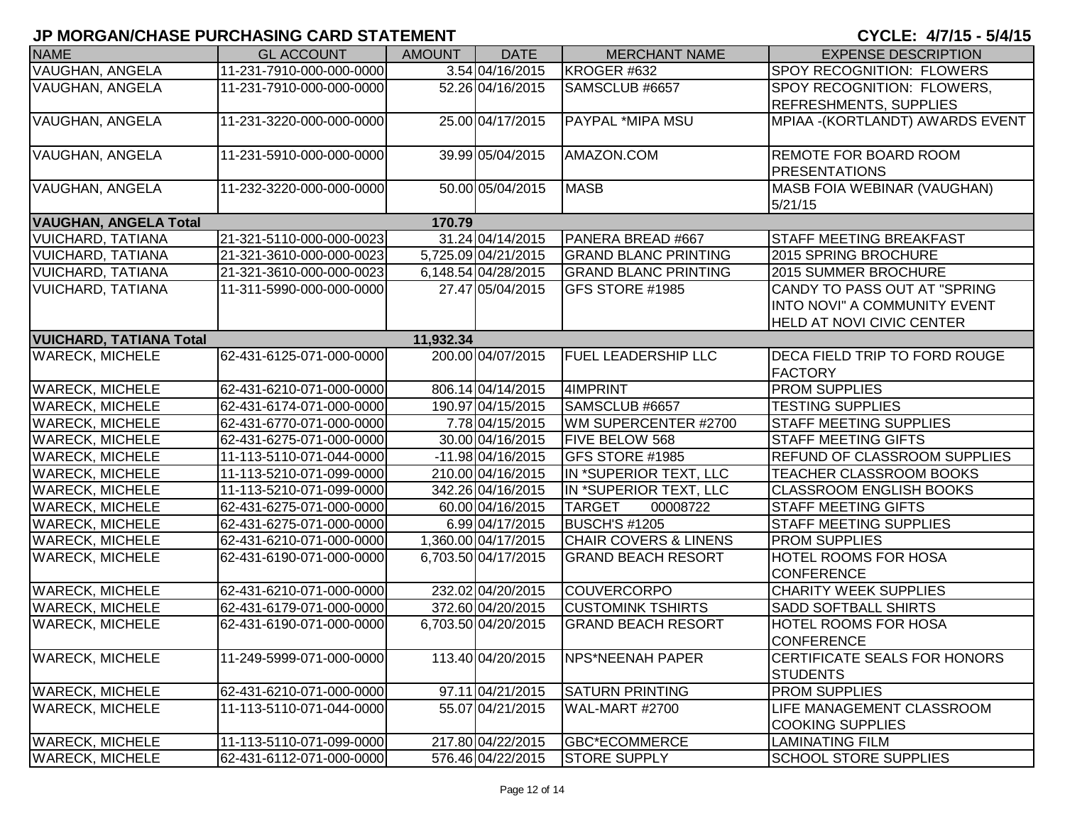| <b>NAME</b>                    | <b>GL ACCOUNT</b>        | <b>AMOUNT</b> | <b>DATE</b>         | <b>MERCHANT NAME</b>             | <b>EXPENSE DESCRIPTION</b>                             |
|--------------------------------|--------------------------|---------------|---------------------|----------------------------------|--------------------------------------------------------|
| <b>VAUGHAN, ANGELA</b>         | 11-231-7910-000-000-0000 |               | 3.54 04/16/2015     | KROGER #632                      | SPOY RECOGNITION: FLOWERS                              |
| VAUGHAN, ANGELA                | 11-231-7910-000-000-0000 |               | 52.26 04/16/2015    | SAMSCLUB #6657                   | SPOY RECOGNITION: FLOWERS,                             |
|                                |                          |               |                     |                                  | <b>REFRESHMENTS, SUPPLIES</b>                          |
| VAUGHAN, ANGELA                | 11-231-3220-000-000-0000 |               | 25.00 04/17/2015    | <b>PAYPAL *MIPA MSU</b>          | MPIAA - (KORTLANDT) AWARDS EVENT                       |
|                                |                          |               |                     |                                  |                                                        |
| VAUGHAN, ANGELA                | 11-231-5910-000-000-0000 |               | 39.99 05/04/2015    | AMAZON.COM                       | <b>REMOTE FOR BOARD ROOM</b>                           |
|                                |                          |               |                     |                                  | <b>PRESENTATIONS</b>                                   |
| <b>VAUGHAN, ANGELA</b>         | 11-232-3220-000-000-0000 |               | 50.00 05/04/2015    | <b>MASB</b>                      | <b>MASB FOIA WEBINAR (VAUGHAN)</b>                     |
|                                |                          |               |                     |                                  | 5/21/15                                                |
| <b>VAUGHAN, ANGELA Total</b>   |                          | 170.79        |                     |                                  |                                                        |
| <b>VUICHARD, TATIANA</b>       | 21-321-5110-000-000-0023 |               | 31.24 04/14/2015    | PANERA BREAD #667                | <b>STAFF MEETING BREAKFAST</b>                         |
| VUICHARD, TATIANA              | 21-321-3610-000-000-0023 |               | 5,725.09 04/21/2015 | <b>GRAND BLANC PRINTING</b>      | 2015 SPRING BROCHURE                                   |
| <b>VUICHARD, TATIANA</b>       | 21-321-3610-000-000-0023 |               | 6,148.54 04/28/2015 | <b>GRAND BLANC PRINTING</b>      | 2015 SUMMER BROCHURE                                   |
| VUICHARD, TATIANA              | 11-311-5990-000-000-0000 |               | 27.47 05/04/2015    | GFS STORE #1985                  | CANDY TO PASS OUT AT "SPRING                           |
|                                |                          |               |                     |                                  | <b>INTO NOVI" A COMMUNITY EVENT</b>                    |
|                                |                          |               |                     |                                  | <b>HELD AT NOVI CIVIC CENTER</b>                       |
| <b>VUICHARD, TATIANA Total</b> |                          | 11,932.34     |                     |                                  |                                                        |
| <b>WARECK, MICHELE</b>         | 62-431-6125-071-000-0000 |               | 200.00 04/07/2015   | <b>FUEL LEADERSHIP LLC</b>       | <b>DECA FIELD TRIP TO FORD ROUGE</b><br><b>FACTORY</b> |
| <b>WARECK, MICHELE</b>         | 62-431-6210-071-000-0000 |               | 806.14 04/14/2015   | 4IMPRINT                         | <b>PROM SUPPLIES</b>                                   |
| <b>WARECK, MICHELE</b>         | 62-431-6174-071-000-0000 |               | 190.97 04/15/2015   | SAMSCLUB #6657                   | <b>TESTING SUPPLIES</b>                                |
| <b>WARECK, MICHELE</b>         | 62-431-6770-071-000-0000 |               | 7.78 04/15/2015     | WM SUPERCENTER #2700             | <b>STAFF MEETING SUPPLIES</b>                          |
| <b>WARECK, MICHELE</b>         | 62-431-6275-071-000-0000 |               | 30.00 04/16/2015    | <b>FIVE BELOW 568</b>            | <b>STAFF MEETING GIFTS</b>                             |
| <b>WARECK, MICHELE</b>         | 11-113-5110-071-044-0000 |               | -11.98 04/16/2015   | <b>GFS STORE #1985</b>           | <b>REFUND OF CLASSROOM SUPPLIES</b>                    |
| <b>WARECK, MICHELE</b>         | 11-113-5210-071-099-0000 |               | 210.00 04/16/2015   | IN *SUPERIOR TEXT, LLC           | TEACHER CLASSROOM BOOKS                                |
| <b>WARECK, MICHELE</b>         | 11-113-5210-071-099-0000 |               | 342.26 04/16/2015   | IN *SUPERIOR TEXT, LLC           | <b>CLASSROOM ENGLISH BOOKS</b>                         |
| <b>WARECK, MICHELE</b>         | 62-431-6275-071-000-0000 |               | 60.00 04/16/2015    | <b>TARGET</b><br>00008722        | <b>STAFF MEETING GIFTS</b>                             |
| <b>WARECK, MICHELE</b>         | 62-431-6275-071-000-0000 |               | 6.99 04/17/2015     | BUSCH'S #1205                    | <b>STAFF MEETING SUPPLIES</b>                          |
| <b>WARECK, MICHELE</b>         | 62-431-6210-071-000-0000 |               | 1,360.00 04/17/2015 | <b>CHAIR COVERS &amp; LINENS</b> | <b>PROM SUPPLIES</b>                                   |
| <b>WARECK, MICHELE</b>         | 62-431-6190-071-000-0000 |               | 6,703.50 04/17/2015 | <b>GRAND BEACH RESORT</b>        | <b>HOTEL ROOMS FOR HOSA</b>                            |
|                                |                          |               |                     |                                  | <b>CONFERENCE</b>                                      |
| <b>WARECK, MICHELE</b>         | 62-431-6210-071-000-0000 |               | 232.02 04/20/2015   | <b>COUVERCORPO</b>               | <b>CHARITY WEEK SUPPLIES</b>                           |
| <b>WARECK, MICHELE</b>         | 62-431-6179-071-000-0000 |               | 372.60 04/20/2015   | <b>CUSTOMINK TSHIRTS</b>         | <b>SADD SOFTBALL SHIRTS</b>                            |
| <b>WARECK, MICHELE</b>         | 62-431-6190-071-000-0000 |               | 6,703.50 04/20/2015 | <b>GRAND BEACH RESORT</b>        | HOTEL ROOMS FOR HOSA                                   |
|                                |                          |               |                     |                                  | <b>CONFERENCE</b>                                      |
| <b>WARECK, MICHELE</b>         | 11-249-5999-071-000-0000 |               | 113.40 04/20/2015   | NPS*NEENAH PAPER                 | <b>CERTIFICATE SEALS FOR HONORS</b>                    |
|                                |                          |               |                     |                                  | <b>STUDENTS</b>                                        |
| <b>WARECK, MICHELE</b>         | 62-431-6210-071-000-0000 |               | 97.11 04/21/2015    | <b>SATURN PRINTING</b>           | <b>PROM SUPPLIES</b>                                   |
| <b>WARECK, MICHELE</b>         | 11-113-5110-071-044-0000 |               | 55.07 04/21/2015    | <b>WAL-MART #2700</b>            | LIFE MANAGEMENT CLASSROOM                              |
|                                |                          |               |                     |                                  | <b>COOKING SUPPLIES</b>                                |
| <b>WARECK, MICHELE</b>         | 11-113-5110-071-099-0000 |               | 217.80 04/22/2015   | GBC*ECOMMERCE                    | <b>LAMINATING FILM</b>                                 |
| <b>WARECK, MICHELE</b>         | 62-431-6112-071-000-0000 |               | 576.46 04/22/2015   | <b>STORE SUPPLY</b>              | <b>SCHOOL STORE SUPPLIES</b>                           |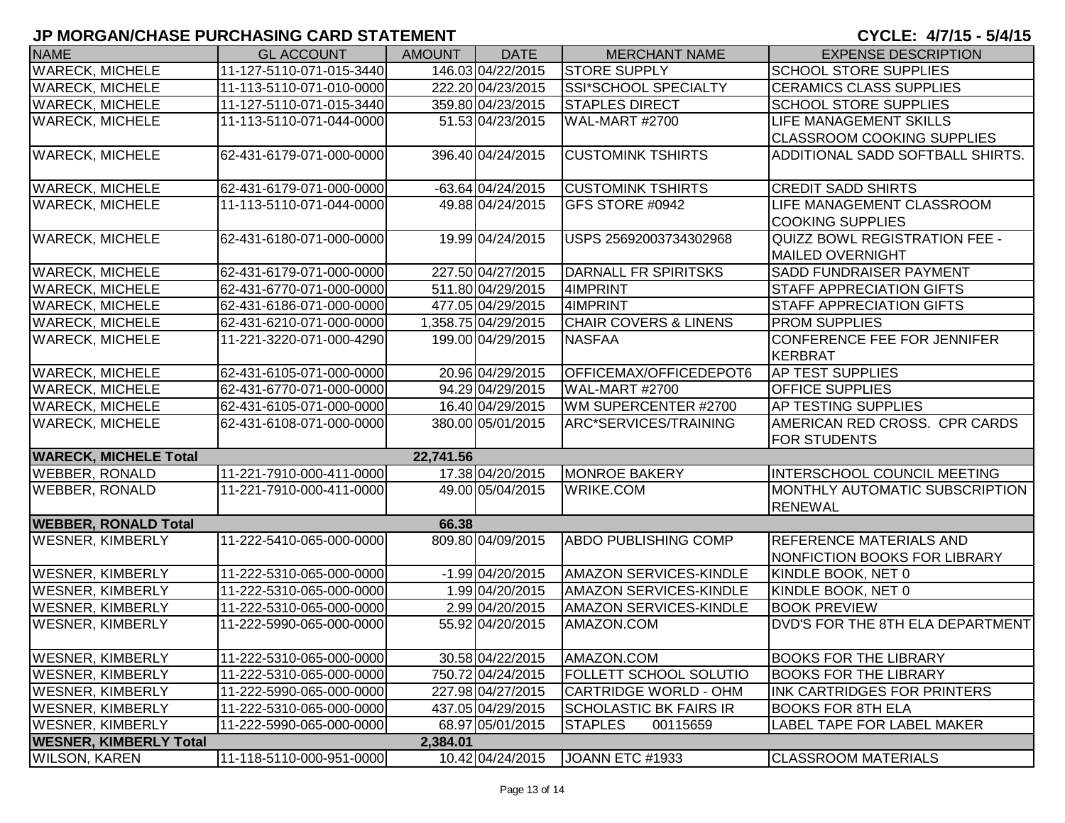| <b>NAME</b>                               | <b>GL ACCOUNT</b>        | <b>AMOUNT</b> | <b>DATE</b>         | <b>MERCHANT NAME</b>             | <b>EXPENSE DESCRIPTION</b>           |  |  |  |
|-------------------------------------------|--------------------------|---------------|---------------------|----------------------------------|--------------------------------------|--|--|--|
| <b>WARECK, MICHELE</b>                    | 11-127-5110-071-015-3440 |               | 146.03 04/22/2015   | <b>STORE SUPPLY</b>              | <b>SCHOOL STORE SUPPLIES</b>         |  |  |  |
| <b>WARECK, MICHELE</b>                    | 11-113-5110-071-010-0000 |               | 222.20 04/23/2015   | <b>SSI*SCHOOL SPECIALTY</b>      | <b>CERAMICS CLASS SUPPLIES</b>       |  |  |  |
| <b>WARECK, MICHELE</b>                    | 11-127-5110-071-015-3440 |               | 359.80 04/23/2015   | <b>STAPLES DIRECT</b>            | <b>SCHOOL STORE SUPPLIES</b>         |  |  |  |
| <b>WARECK, MICHELE</b>                    | 11-113-5110-071-044-0000 |               | 51.53 04/23/2015    | <b>WAL-MART #2700</b>            | <b>LIFE MANAGEMENT SKILLS</b>        |  |  |  |
|                                           |                          |               |                     |                                  | <b>CLASSROOM COOKING SUPPLIES</b>    |  |  |  |
| <b>WARECK, MICHELE</b>                    | 62-431-6179-071-000-0000 |               | 396.40 04/24/2015   | <b>CUSTOMINK TSHIRTS</b>         | ADDITIONAL SADD SOFTBALL SHIRTS.     |  |  |  |
|                                           |                          |               |                     |                                  |                                      |  |  |  |
| <b>WARECK, MICHELE</b>                    | 62-431-6179-071-000-0000 |               | $-63.64$ 04/24/2015 | <b>CUSTOMINK TSHIRTS</b>         | <b>CREDIT SADD SHIRTS</b>            |  |  |  |
| <b>WARECK, MICHELE</b>                    | 11-113-5110-071-044-0000 |               | 49.88 04/24/2015    | GFS STORE #0942                  | LIFE MANAGEMENT CLASSROOM            |  |  |  |
|                                           |                          |               |                     |                                  | <b>COOKING SUPPLIES</b>              |  |  |  |
| <b>WARECK, MICHELE</b>                    | 62-431-6180-071-000-0000 |               | 19.99 04/24/2015    | USPS 25692003734302968           | <b>QUIZZ BOWL REGISTRATION FEE -</b> |  |  |  |
|                                           |                          |               |                     |                                  | <b>MAILED OVERNIGHT</b>              |  |  |  |
| <b>WARECK, MICHELE</b>                    | 62-431-6179-071-000-0000 |               | 227.50 04/27/2015   | <b>DARNALL FR SPIRITSKS</b>      | <b>SADD FUNDRAISER PAYMENT</b>       |  |  |  |
| <b>WARECK, MICHELE</b>                    | 62-431-6770-071-000-0000 |               | 511.80 04/29/2015   | 4IMPRINT                         | <b>STAFF APPRECIATION GIFTS</b>      |  |  |  |
| <b>WARECK, MICHELE</b>                    | 62-431-6186-071-000-0000 |               | 477.05 04/29/2015   | 4IMPRINT                         | <b>STAFF APPRECIATION GIFTS</b>      |  |  |  |
| <b>WARECK, MICHELE</b>                    | 62-431-6210-071-000-0000 |               | 1,358.75 04/29/2015 | <b>CHAIR COVERS &amp; LINENS</b> | <b>PROM SUPPLIES</b>                 |  |  |  |
| <b>WARECK, MICHELE</b>                    | 11-221-3220-071-000-4290 |               | 199.00 04/29/2015   | <b>NASFAA</b>                    | CONFERENCE FEE FOR JENNIFER          |  |  |  |
|                                           |                          |               |                     |                                  | KERBRAT                              |  |  |  |
| <b>WARECK, MICHELE</b>                    | 62-431-6105-071-000-0000 |               | 20.96 04/29/2015    | OFFICEMAX/OFFICEDEPOT6           | <b>AP TEST SUPPLIES</b>              |  |  |  |
| <b>WARECK, MICHELE</b>                    | 62-431-6770-071-000-0000 |               | 94.29 04/29/2015    | WAL-MART #2700                   | <b>OFFICE SUPPLIES</b>               |  |  |  |
| <b>WARECK, MICHELE</b>                    | 62-431-6105-071-000-0000 |               | 16.40 04/29/2015    | WM SUPERCENTER #2700             | AP TESTING SUPPLIES                  |  |  |  |
| <b>WARECK, MICHELE</b>                    | 62-431-6108-071-000-0000 |               | 380.00 05/01/2015   | ARC*SERVICES/TRAINING            | AMERICAN RED CROSS. CPR CARDS        |  |  |  |
|                                           |                          |               |                     |                                  | <b>FOR STUDENTS</b>                  |  |  |  |
| <b>WARECK, MICHELE Total</b><br>22,741.56 |                          |               |                     |                                  |                                      |  |  |  |
| <b>WEBBER, RONALD</b>                     | 11-221-7910-000-411-0000 |               | 17.38 04/20/2015    | <b>MONROE BAKERY</b>             | INTERSCHOOL COUNCIL MEETING          |  |  |  |
| <b>WEBBER, RONALD</b>                     | 11-221-7910-000-411-0000 |               | 49.00 05/04/2015    | <b>WRIKE.COM</b>                 | MONTHLY AUTOMATIC SUBSCRIPTION       |  |  |  |
|                                           |                          |               |                     |                                  | <b>RENEWAL</b>                       |  |  |  |
| <b>WEBBER, RONALD Total</b>               |                          | 66.38         |                     |                                  |                                      |  |  |  |
| <b>WESNER, KIMBERLY</b>                   | 11-222-5410-065-000-0000 |               | 809.80 04/09/2015   | <b>ABDO PUBLISHING COMP</b>      | <b>REFERENCE MATERIALS AND</b>       |  |  |  |
|                                           |                          |               |                     |                                  | NONFICTION BOOKS FOR LIBRARY         |  |  |  |
| <b>WESNER, KIMBERLY</b>                   | 11-222-5310-065-000-0000 |               | $-1.99$ 04/20/2015  | <b>AMAZON SERVICES-KINDLE</b>    | KINDLE BOOK, NET 0                   |  |  |  |
| <b>WESNER, KIMBERLY</b>                   | 11-222-5310-065-000-0000 |               | 1.99 04/20/2015     | <b>AMAZON SERVICES-KINDLE</b>    | KINDLE BOOK, NET 0                   |  |  |  |
| <b>WESNER, KIMBERLY</b>                   | 11-222-5310-065-000-0000 |               | 2.99 04/20/2015     | <b>AMAZON SERVICES-KINDLE</b>    | <b>BOOK PREVIEW</b>                  |  |  |  |
| <b>WESNER, KIMBERLY</b>                   | 11-222-5990-065-000-0000 |               | 55.92 04/20/2015    | AMAZON.COM                       | DVD'S FOR THE 8TH ELA DEPARTMENT     |  |  |  |
|                                           |                          |               |                     |                                  |                                      |  |  |  |
| <b>WESNER, KIMBERLY</b>                   | 11-222-5310-065-000-0000 |               | 30.58 04/22/2015    | AMAZON.COM                       | <b>BOOKS FOR THE LIBRARY</b>         |  |  |  |
| <b>WESNER, KIMBERLY</b>                   | 11-222-5310-065-000-0000 |               | 750.72 04/24/2015   | <b>FOLLETT SCHOOL SOLUTIO</b>    | <b>BOOKS FOR THE LIBRARY</b>         |  |  |  |
| <b>WESNER, KIMBERLY</b>                   | 11-222-5990-065-000-0000 |               | 227.98 04/27/2015   | <b>CARTRIDGE WORLD - OHM</b>     | <b>INK CARTRIDGES FOR PRINTERS</b>   |  |  |  |
| <b>WESNER, KIMBERLY</b>                   | 11-222-5310-065-000-0000 |               | 437.05 04/29/2015   | <b>SCHOLASTIC BK FAIRS IR</b>    | <b>BOOKS FOR 8TH ELA</b>             |  |  |  |
| <b>WESNER, KIMBERLY</b>                   | 11-222-5990-065-000-0000 |               | 68.97 05/01/2015    | <b>STAPLES</b><br>00115659       | <b>LABEL TAPE FOR LABEL MAKER</b>    |  |  |  |
| <b>WESNER, KIMBERLY Total</b><br>2,384.01 |                          |               |                     |                                  |                                      |  |  |  |
| <b>WILSON, KAREN</b>                      | 11-118-5110-000-951-0000 |               | 10.42 04/24/2015    | JOANN ETC #1933                  | <b>CLASSROOM MATERIALS</b>           |  |  |  |